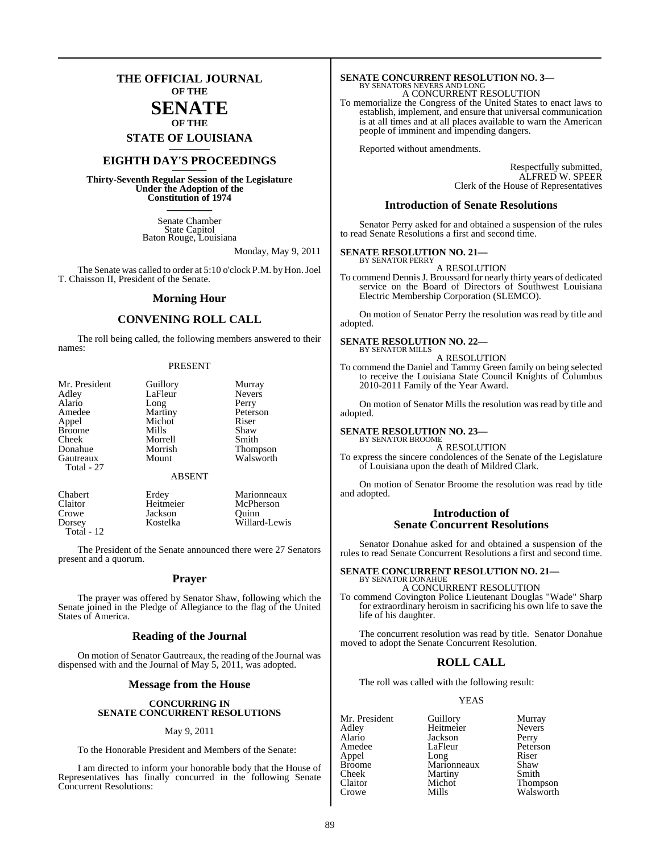## **THE OFFICIAL JOURNAL OF THE**

## **SENATE OF THE**

**STATE OF LOUISIANA \_\_\_\_\_\_\_**

## **EIGHTH DAY'S PROCEEDINGS \_\_\_\_\_\_\_**

**Thirty-Seventh Regular Session of the Legislature Under the Adoption of the Constitution of 1974 \_\_\_\_\_\_\_**

> Senate Chamber State Capitol Baton Rouge, Louisiana

> > Monday, May 9, 2011

The Senate was called to order at 5:10 o'clock P.M. by Hon. Joel T. Chaisson II, President of the Senate.

#### **Morning Hour**

### **CONVENING ROLL CALL**

The roll being called, the following members answered to their names:

#### PRESENT

| Mr. President | Guillory      | Murray        |
|---------------|---------------|---------------|
| Adley         | LaFleur       | <b>Nevers</b> |
| Alario        | Long          | Perry         |
| Amedee        | Martiny       | Peterson      |
| Appel         | Michot        | Riser         |
| <b>Broome</b> | Mills         | Shaw          |
| Cheek         | Morrell       | Smith         |
| Donahue       | Morrish       | Thompson      |
| Gautreaux     | Mount         | Walsworth     |
| Total - 27    |               |               |
|               | <b>ABSENT</b> |               |

| <b>Chabert</b> | Erdey     | Marionneaux   |
|----------------|-----------|---------------|
| Claitor        | Heitmeier | McPherson     |
| Crowe          | Jackson   | Ouinn         |
| Dorsey         | Kostelka  | Willard-Lewis |
| Total - $12$   |           |               |

The President of the Senate announced there were 27 Senators present and a quorum.

#### **Prayer**

The prayer was offered by Senator Shaw, following which the Senate joined in the Pledge of Allegiance to the flag of the United States of America.

#### **Reading of the Journal**

On motion of Senator Gautreaux, the reading of the Journal was dispensed with and the Journal of May 5, 2011, was adopted.

#### **Message from the House**

#### **CONCURRING IN SENATE CONCURRENT RESOLUTIONS**

#### May 9, 2011

To the Honorable President and Members of the Senate:

I am directed to inform your honorable body that the House of Representatives has finally concurred in the following Senate Concurrent Resolutions:

# **SENATE CONCURRENT RESOLUTION NO. 3—**<br>BY SENATORS NEVERS AND LONG<br>A CONCURRENT RESOLUTION

To memorialize the Congress of the United States to enact laws to establish, implement, and ensure that universal communication is at all times and at all places available to warn the American people of imminent and impending dangers.

Reported without amendments.

Respectfully submitted, ALFRED W. SPEER Clerk of the House of Representatives

#### **Introduction of Senate Resolutions**

Senator Perry asked for and obtained a suspension of the rules to read Senate Resolutions a first and second time.

#### **SENATE RESOLUTION NO. 21—** BY SENATOR PERRY

A RESOLUTION

To commend Dennis J. Broussard for nearly thirty years of dedicated service on the Board of Directors of Southwest Louisiana Electric Membership Corporation (SLEMCO).

On motion of Senator Perry the resolution was read by title and adopted.

#### **SENATE RESOLUTION NO. 22—** BY SENATOR MILLS

A RESOLUTION

To commend the Daniel and Tammy Green family on being selected to receive the Louisiana State Council Knights of Columbus 2010-2011 Family of the Year Award.

On motion of Senator Mills the resolution was read by title and adopted.

### **SENATE RESOLUTION NO. 23—**

BY SENATOR BROOME A RESOLUTION

To express the sincere condolences of the Senate of the Legislature of Louisiana upon the death of Mildred Clark.

On motion of Senator Broome the resolution was read by title and adopted.

### **Introduction of Senate Concurrent Resolutions**

Senator Donahue asked for and obtained a suspension of the rules to read Senate Concurrent Resolutions a first and second time.

#### **SENATE CONCURRENT RESOLUTION NO. 21—** BY SENATOR DONAHUE

A CONCURRENT RESOLUTION

To commend Covington Police Lieutenant Douglas "Wade" Sharp for extraordinary heroism in sacrificing his own life to save the life of his daughter.

The concurrent resolution was read by title. Senator Donahue moved to adopt the Senate Concurrent Resolution.

### **ROLL CALL**

The roll was called with the following result:

#### **YEAS**

Mr. President Guillory Murray<br>Adley Heitmeier Nevers Heitmeier Alario Jackson Perry LaFleur Peterson<br>Long Riser Appel Long Riser<br>Broome Marionneaux Shaw Broome Marionneaux Shaw<br>Cheek Martiny Smith Martiny Claitor Michot Thompson

Walsworth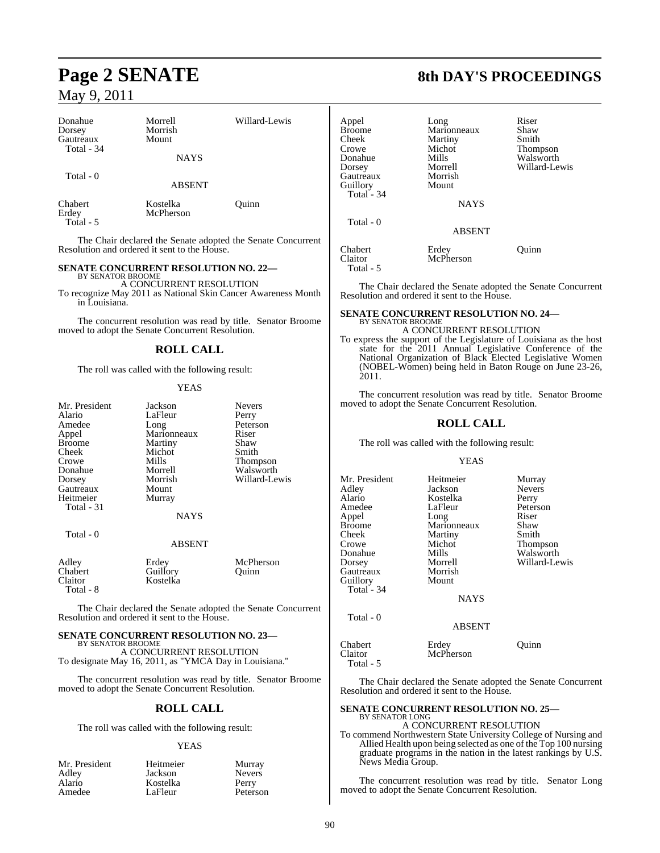| Donahue<br>Dorsey<br>Gautreaux<br>Total - 34 | Morrell<br>Morrish<br>Mount | Willard-Lewis |
|----------------------------------------------|-----------------------------|---------------|
|                                              | <b>NAYS</b>                 |               |
| Total - 0                                    | <b>ABSENT</b>               |               |
| <b>Chabert</b><br>Erdey<br>Total - 5         | Kostelka<br>McPherson       | Ouinn         |

The Chair declared the Senate adopted the Senate Concurrent Resolution and ordered it sent to the House.

#### **SENATE CONCURRENT RESOLUTION NO. 22—** BY SENATOR BROOME

A CONCURRENT RESOLUTION

To recognize May 2011 as National Skin Cancer Awareness Month in Louisiana.

The concurrent resolution was read by title. Senator Broome moved to adopt the Senate Concurrent Resolution.

#### **ROLL CALL**

The roll was called with the following result:

#### **YEAS**

| Mr. President | Jackson     | <b>Nevers</b> |
|---------------|-------------|---------------|
| Alario        | LaFleur     | Perry         |
| Amedee        | Long        | Peterson      |
| Appel         | Marionneaux | Riser         |
| <b>Broome</b> | Martiny     | Shaw          |
| Cheek         | Michot      | Smith         |
| Crowe         | Mills       | Thompson      |
| Donahue       | Morrell     | Walsworth     |
| Dorsey        | Morrish     | Willard-Lewis |
| Gautreaux     | Mount       |               |
| Heitmeier     | Murray      |               |
| Total - 31    |             |               |
|               | <b>NAYS</b> |               |
| Total - 0     |             |               |
|               | ABSENT      |               |

| Adley<br>Chabert<br>Claitor | Erdev<br>Guillory<br>Kostelka | McPherson<br>Ouinn |
|-----------------------------|-------------------------------|--------------------|
| Total - 8                   |                               |                    |

The Chair declared the Senate adopted the Senate Concurrent Resolution and ordered it sent to the House.

#### **SENATE CONCURRENT RESOLUTION NO. 23—** BY SENATOR BROOME

A CONCURRENT RESOLUTION To designate May 16, 2011, as "YMCA Day in Louisiana."

The concurrent resolution was read by title. Senator Broome moved to adopt the Senate Concurrent Resolution.

#### **ROLL CALL**

The roll was called with the following result:

#### **YEAS**

Murray Nevers<sup>1</sup> Perry Peterson

| Mr. President | Heitmeier |
|---------------|-----------|
| Adley         | Jackson   |
| Alario        | Kostelka  |
| Amedee        | LaFleur   |

# **Page 2 SENATE 8th DAY'S PROCEEDINGS**

| Appel<br><b>Broome</b><br>Cheek<br>Crowe<br>Donahue<br>Dorsey<br>Gautreaux<br>Guillory<br>Total - 34<br>Total $-0$ | Long<br>Marionneaux<br>Martiny<br>Michot<br>Mills<br>Morrell<br>Morrish<br>Mount<br><b>NAYS</b> | Riser<br>Shaw<br>Smith<br>Thompson<br>Walsworth<br>Willard-Lewis |
|--------------------------------------------------------------------------------------------------------------------|-------------------------------------------------------------------------------------------------|------------------------------------------------------------------|
|                                                                                                                    | <b>ABSENT</b>                                                                                   |                                                                  |
| Chabert<br>Claitor<br>Total - 5                                                                                    | Erdey<br>McPherson                                                                              | Ouinn                                                            |

The Chair declared the Senate adopted the Senate Concurrent Resolution and ordered it sent to the House.

#### **SENATE CONCURRENT RESOLUTION NO. 24—** BY SENATOR BROOME

A CONCURRENT RESOLUTION To express the support of the Legislature of Louisiana as the host state for the 2011 Annual Legislative Conference of the National Organization of Black Elected Legislative Women (NOBEL-Women) being held in Baton Rouge on June 23-26, 2011.

The concurrent resolution was read by title. Senator Broome moved to adopt the Senate Concurrent Resolution.

### **ROLL CALL**

The roll was called with the following result:

#### YEAS

Mr. President Heitmeier Murray<br>Adley Jackson Nevers Adley Jackson Nevers Alario Kostelka<br>Amedee LaFleur Appel Long Riser<br>Broome Marionneaux Shaw Broome Marionneaux Shaw<br>Cheek Martiny Smith Crowe Michot Thompson<br>
Donahue Mills Walsworth Donahue Mills Walsworth<br>Dorsey Morrell Willard-Le Gautreaux Morris<br>
Guillory Mount Guillory Mount Total - 34

Total - 0

Martiny

LaFleur Peterson<br>Long Riser Morrell Willard-Lewis<br>Morrish

NAYS

#### ABSENT

| Chabert   | Erdey     | Ouinn |
|-----------|-----------|-------|
| Claitor   | McPherson |       |
| Total - 5 |           |       |

The Chair declared the Senate adopted the Senate Concurrent Resolution and ordered it sent to the House.

# **SENATE CONCURRENT RESOLUTION NO. 25—** BY SENATOR LONG

A CONCURRENT RESOLUTION

To commend Northwestern State University College of Nursing and Allied Health upon being selected as one of the Top 100 nursing graduate programs in the nation in the latest rankings by U.S. News Media Group.

The concurrent resolution was read by title. Senator Long moved to adopt the Senate Concurrent Resolution.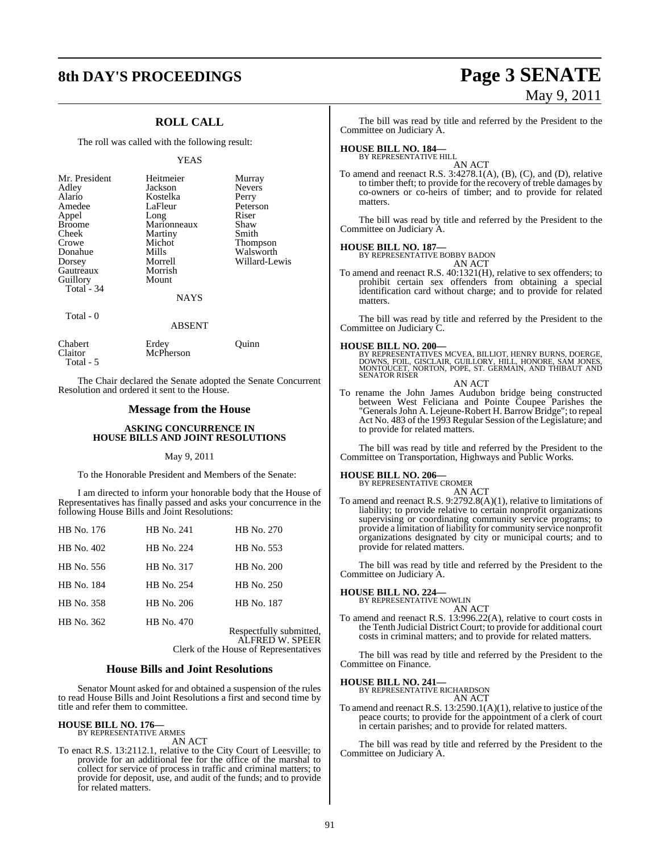# **8th DAY'S PROCEEDINGS Page 3 SENATE**

# May 9, 2011

## **ROLL CALL**

The roll was called with the following result:

#### YEAS

| Mr. President | Heitmeier   | Murray        |
|---------------|-------------|---------------|
| Adley         | Jackson     | <b>Nevers</b> |
| Alario        | Kostelka    | Perry         |
| Amedee        | LaFleur     | Peterson      |
| Appel         | Long        | Riser         |
| <b>Broome</b> | Marionneaux | Shaw          |
| Cheek         | Martiny     | Smith         |
| Crowe         | Michot      | Thompson      |
| Donahue       | Mills       | Walsworth     |
| Dorsey        | Morrell     | Willard-Lewis |
| Gautreaux     | Morrish     |               |
| Guillory      | Mount       |               |
| Total $-34$   |             |               |
|               | <b>NAYS</b> |               |
| Total - 0     |             |               |
|               | ABSENT      |               |

| Chabert<br>Claitor | Erdey<br>McPherson | Ouinn |
|--------------------|--------------------|-------|
| Total - 5          |                    |       |

The Chair declared the Senate adopted the Senate Concurrent Resolution and ordered it sent to the House.

#### **Message from the House**

#### **ASKING CONCURRENCE IN HOUSE BILLS AND JOINT RESOLUTIONS**

#### May 9, 2011

To the Honorable President and Members of the Senate:

I am directed to inform your honorable body that the House of Representatives has finally passed and asks your concurrence in the following House Bills and Joint Resolutions:

| HB No. 176 | HB No. 241 | HB No. 270        |
|------------|------------|-------------------|
| HB No. 402 | HB No. 224 | HB No. 553        |
| HB No. 556 | HB No. 317 | HB No. 200        |
| HB No. 184 | HB No. 254 | HB No. 250        |
| HB No. 358 | HB No. 206 | HB No. 187        |
| HB No. 362 | HB No. 470 | Respectfully subm |

Respectfully submitted, ALFRED W. SPEER Clerk of the House of Representatives

#### **House Bills and Joint Resolutions**

Senator Mount asked for and obtained a suspension of the rules to read House Bills and Joint Resolutions a first and second time by title and refer them to committee.

#### **HOUSE BILL NO. 176—** BY REPRESENTATIVE ARMES

AN ACT

To enact R.S. 13:2112.1, relative to the City Court of Leesville; to provide for an additional fee for the office of the marshal to collect for service of process in traffic and criminal matters; to provide for deposit, use, and audit of the funds; and to provide for related matters.

The bill was read by title and referred by the President to the Committee on Judiciary A.

# **HOUSE BILL NO. 184—** BY REPRESENTATIVE HILL

AN ACT

To amend and reenact R.S. 3:4278.1(A), (B), (C), and (D), relative to timber theft; to provide for the recovery of treble damages by co-owners or co-heirs of timber; and to provide for related matters.

The bill was read by title and referred by the President to the Committee on Judiciary A.

#### **HOUSE BILL NO. 187—**

BY REPRESENTATIVE BOBBY BADON

AN ACT To amend and reenact R.S. 40:1321(H), relative to sex offenders; to prohibit certain sex offenders from obtaining a special identification card without charge; and to provide for related matters.

The bill was read by title and referred by the President to the Committee on Judiciary C.

#### **HOUSE BILL NO. 200—**

BY REPRESENTATIVES MCVEA, BILLIOT, HENRY BURNS, DOERGE, DOWNS, FOIL, GISCLAIR, GUILLORY, HILL, HONORE, SAM JONES, MONTOUCET, NORTON, POPE, ST. GERMAIN, AND THIBAUT AND SENATOR RISER AN ACT

To rename the John James Audubon bridge being constructed between West Feliciana and Pointe Coupee Parishes the "Generals John A. Lejeune-Robert H. Barrow Bridge"; to repeal Act No. 483 of the 1993 Regular Session of the Legislature; and to provide for related matters.

The bill was read by title and referred by the President to the Committee on Transportation, Highways and Public Works.

### **HOUSE BILL NO. 206—**

BY REPRESENTATIVE CROMER AN ACT

To amend and reenact R.S. 9:2792.8(A)(1), relative to limitations of liability; to provide relative to certain nonprofit organizations supervising or coordinating community service programs; to provide a limitation of liability for community service nonprofit organizations designated by city or municipal courts; and to provide for related matters.

The bill was read by title and referred by the President to the Committee on Judiciary A.

# **HOUSE BILL NO. 224—** BY REPRESENTATIVE NOWLIN

AN ACT

To amend and reenact R.S. 13:996.22(A), relative to court costs in the Tenth Judicial District Court; to provide for additional court costs in criminal matters; and to provide for related matters.

The bill was read by title and referred by the President to the Committee on Finance.

#### **HOUSE BILL NO. 241—**

BY REPRESENTATIVE RICHARDSON AN ACT

To amend and reenact R.S. 13:2590.1(A)(1), relative to justice of the peace courts; to provide for the appointment of a clerk of court in certain parishes; and to provide for related matters.

The bill was read by title and referred by the President to the Committee on Judiciary A.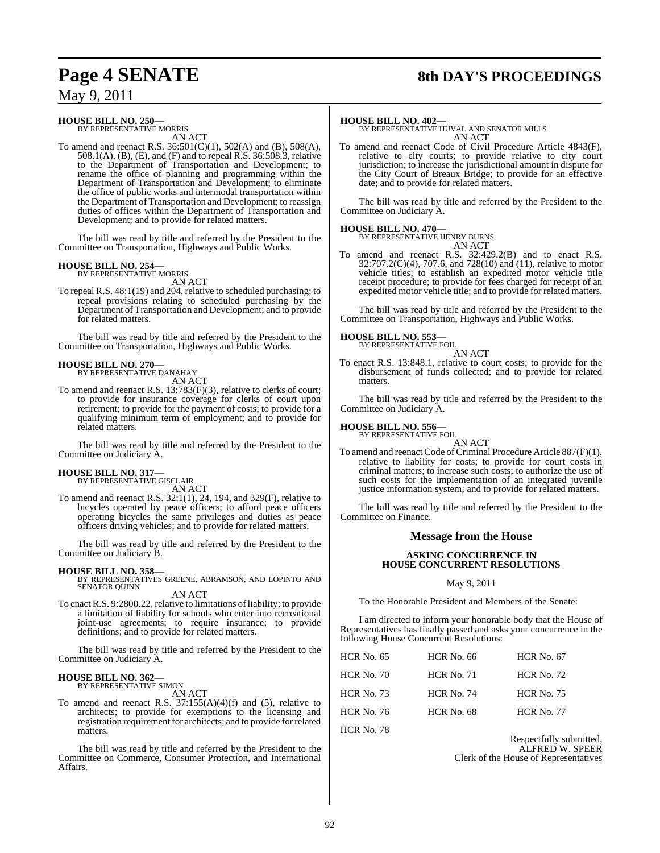# **Page 4 SENATE 8th DAY'S PROCEEDINGS**

## May 9, 2011

# **HOUSE BILL NO. 250—** BY REPRESENTATIVE MORRIS

AN ACT

To amend and reenact R.S. 36:501(C)(1), 502(A) and (B), 508(A), 508.1(A), (B), (E), and (F) and to repeal R.S. 36:508.3, relative to the Department of Transportation and Development; to rename the office of planning and programming within the Department of Transportation and Development; to eliminate the office of public works and intermodal transportation within the Department of Transportation and Development; to reassign duties of offices within the Department of Transportation and Development; and to provide for related matters.

The bill was read by title and referred by the President to the Committee on Transportation, Highways and Public Works.

# **HOUSE BILL NO. 254—** BY REPRESENTATIVE MORRIS

AN ACT

To repeal R.S. 48:1(19) and 204, relative to scheduled purchasing; to repeal provisions relating to scheduled purchasing by the Department of Transportation and Development; and to provide for related matters.

The bill was read by title and referred by the President to the Committee on Transportation, Highways and Public Works.

# **HOUSE BILL NO. 270—** BY REPRESENTATIVE DANAHAY

AN ACT

To amend and reenact R.S. 13:783(F)(3), relative to clerks of court; to provide for insurance coverage for clerks of court upon retirement; to provide for the payment of costs; to provide for a qualifying minimum term of employment; and to provide for related matters.

The bill was read by title and referred by the President to the Committee on Judiciary A.

# **HOUSE BILL NO. 317—** BY REPRESENTATIVE GISCLAIR

AN ACT

To amend and reenact R.S. 32:1(1), 24, 194, and 329(F), relative to bicycles operated by peace officers; to afford peace officers operating bicycles the same privileges and duties as peace officers driving vehicles; and to provide for related matters.

The bill was read by title and referred by the President to the Committee on Judiciary B.

**HOUSE BILL NO. 358—** BY REPRESENTATIVES GREENE, ABRAMSON, AND LOPINTO AND SENATOR QUINN AN ACT

To enact R.S. 9:2800.22, relative to limitations of liability; to provide a limitation of liability for schools who enter into recreational joint-use agreements; to require insurance; to provide definitions; and to provide for related matters.

The bill was read by title and referred by the President to the Committee on Judiciary A.

# **HOUSE BILL NO. 362—** BY REPRESENTATIVE SIMON

AN ACT

To amend and reenact R.S.  $37:155(A)(4)(f)$  and (5), relative to architects; to provide for exemptions to the licensing and registration requirement for architects; and to provide for related matters.

The bill was read by title and referred by the President to the Committee on Commerce, Consumer Protection, and International Affairs.

#### **HOUSE BILL NO. 402—**

BY REPRESENTATIVE HUVAL AND SENATOR MILLS AN ACT

To amend and reenact Code of Civil Procedure Article 4843(F), relative to city courts; to provide relative to city court jurisdiction; to increase the jurisdictional amount in dispute for the City Court of Breaux Bridge; to provide for an effective date; and to provide for related matters.

The bill was read by title and referred by the President to the Committee on Judiciary A.

#### **HOUSE BILL NO. 470—**

BY REPRESENTATIVE HENRY BURNS AN ACT

To amend and reenact R.S. 32:429.2(B) and to enact R.S. 32:707.2(C)(4), 707.6, and 728(10) and (11), relative to motor vehicle titles; to establish an expedited motor vehicle title receipt procedure; to provide for fees charged for receipt of an expedited motor vehicle title; and to provide for related matters.

The bill was read by title and referred by the President to the Committee on Transportation, Highways and Public Works.

# **HOUSE BILL NO. 553—** BY REPRESENTATIVE FOIL

AN ACT

To enact R.S. 13:848.1, relative to court costs; to provide for the disbursement of funds collected; and to provide for related matters.

The bill was read by title and referred by the President to the Committee on Judiciary A.

# **HOUSE BILL NO. 556—** BY REPRESENTATIVE FOIL

AN ACT

To amend and reenact Code of Criminal Procedure Article 887(F)(1), relative to liability for costs; to provide for court costs in criminal matters; to increase such costs; to authorize the use of such costs for the implementation of an integrated juvenile justice information system; and to provide for related matters.

The bill was read by title and referred by the President to the Committee on Finance.

#### **Message from the House**

#### **ASKING CONCURRENCE IN HOUSE CONCURRENT RESOLUTIONS**

#### May 9, 2011

To the Honorable President and Members of the Senate:

I am directed to inform your honorable body that the House of Representatives has finally passed and asks your concurrence in the following House Concurrent Resolutions:

| <b>HCR No. 66</b> | <b>HCR No. 67</b> |
|-------------------|-------------------|
| <b>HCR No. 71</b> | <b>HCR No. 72</b> |
| <b>HCR No. 74</b> | <b>HCR No. 75</b> |
| <b>HCR No. 68</b> | <b>HCR No. 77</b> |
|                   |                   |

HCR No. 78

Respectfully submitted, ALFRED W. SPEER Clerk of the House of Representatives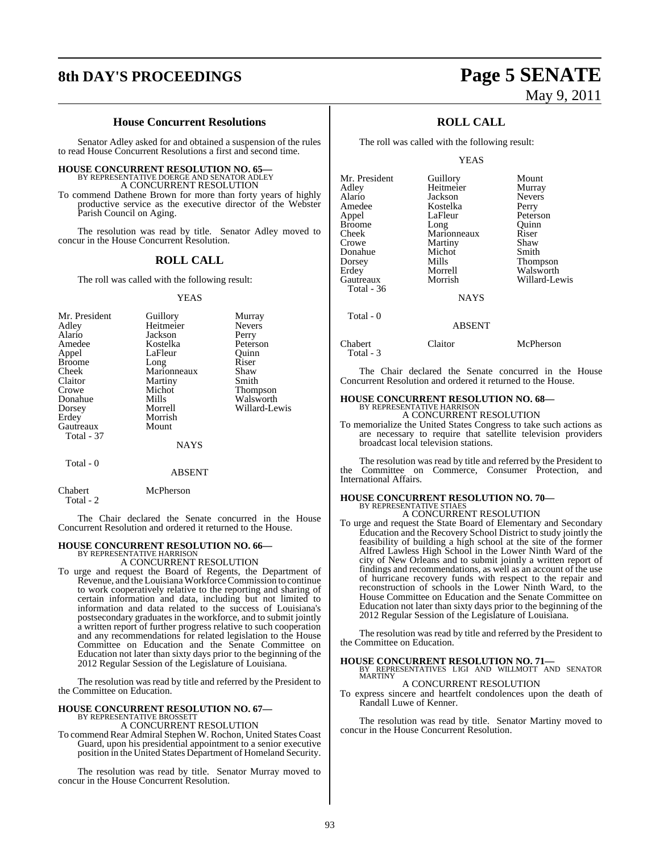# **8th DAY'S PROCEEDINGS Page 5 SENATE**

#### **House Concurrent Resolutions**

Senator Adley asked for and obtained a suspension of the rules to read House Concurrent Resolutions a first and second time.

#### **HOUSE CONCURRENT RESOLUTION NO. 65—**

BY REPRESENTATIVE DOERGE AND SENATOR ADLEY A CONCURRENT RESOLUTION

To commend Dathene Brown for more than forty years of highly productive service as the executive director of the Webster Parish Council on Aging.

The resolution was read by title. Senator Adley moved to concur in the House Concurrent Resolution.

#### **ROLL CALL**

The roll was called with the following result:

#### YEAS

| Mr. President<br>Adley<br>Alario<br>Amedee<br>Appel<br><b>Broome</b><br>Cheek<br>Claitor<br>Crowe<br>Donahue<br>Dorsey<br>Erdey<br>Gautreaux<br>Total - 37 | Guillory<br>Heitmeier<br>Jackson<br>Kostelka<br>LaFleur<br>Long<br>Marionneaux<br>Martiny<br>Michot<br>Mills<br>Morrell<br>Morrish<br>Mount | Murray<br><b>Nevers</b><br>Perry<br>Peterson<br>Ouinn<br>Riser<br>Shaw<br>Smith<br>Thompson<br>Walsworth<br>Willard-Lewis |
|------------------------------------------------------------------------------------------------------------------------------------------------------------|---------------------------------------------------------------------------------------------------------------------------------------------|---------------------------------------------------------------------------------------------------------------------------|
|                                                                                                                                                            | NAYS                                                                                                                                        |                                                                                                                           |
| Total - 0                                                                                                                                                  |                                                                                                                                             |                                                                                                                           |

#### ABSENT

Chabert McPherson

Total - 2

The Chair declared the Senate concurred in the House Concurrent Resolution and ordered it returned to the House.

#### **HOUSE CONCURRENT RESOLUTION NO. 66—** BY REPRESENTATIVE HARRISON

A CONCURRENT RESOLUTION

To urge and request the Board of Regents, the Department of Revenue, and the Louisiana Workforce Commission to continue to work cooperatively relative to the reporting and sharing of certain information and data, including but not limited to information and data related to the success of Louisiana's postsecondary graduates in the workforce, and to submit jointly a written report of further progress relative to such cooperation and any recommendations for related legislation to the House Committee on Education and the Senate Committee on Education not later than sixty days prior to the beginning of the 2012 Regular Session of the Legislature of Louisiana.

The resolution was read by title and referred by the President to the Committee on Education.

# **HOUSE CONCURRENT RESOLUTION NO. 67—** BY REPRESENTATIVE BROSSETT

A CONCURRENT RESOLUTION

To commend Rear Admiral Stephen W. Rochon, United States Coast Guard, upon his presidential appointment to a senior executive position in the United States Department of Homeland Security.

The resolution was read by title. Senator Murray moved to concur in the House Concurrent Resolution.

# May 9, 2011

## **ROLL CALL**

The roll was called with the following result:

YEAS

| Mr. President | Guillory      | Mount         |
|---------------|---------------|---------------|
| Adley         | Heitmeier     | Murray        |
| Alario        | Jackson       | <b>Nevers</b> |
| Amedee        | Kostelka      | Perry         |
| Appel         | LaFleur       | Peterson      |
| Broome        | Long          | Ouinn         |
| Cheek         | Marionneaux   | Riser         |
| Crowe         | Martiny       | Shaw          |
| Donahue       | Michot        | Smith         |
| Dorsey        | Mills         | Thompson      |
| Erdev         | Morrell       | Walsworth     |
| Gautreaux     | Morrish       | Willard-Lewis |
| Total - 36    |               |               |
|               | <b>NAYS</b>   |               |
| Total - 0     |               |               |
|               | <b>ABSENT</b> |               |
|               |               |               |

| Chabert   | Claitor | McPherson |
|-----------|---------|-----------|
|           |         |           |
| Total - 3 |         |           |
|           |         |           |

The Chair declared the Senate concurred in the House Concurrent Resolution and ordered it returned to the House.

# **HOUSE CONCURRENT RESOLUTION NO. 68—** BY REPRESENTATIVE HARRISON

A CONCURRENT RESOLUTION

To memorialize the United States Congress to take such actions as are necessary to require that satellite television providers broadcast local television stations.

The resolution was read by title and referred by the President to the Committee on Commerce, Consumer Protection, and International Affairs.

# **HOUSE CONCURRENT RESOLUTION NO. 70—** BY REPRESENTATIVE STIAES A CONCURRENT RESOLUTION

To urge and request the State Board of Elementary and Secondary Education and the Recovery School District to study jointly the feasibility of building a high school at the site of the former Alfred Lawless High School in the Lower Ninth Ward of the city of New Orleans and to submit jointly a written report of findings and recommendations, as well as an account of the use of hurricane recovery funds with respect to the repair and reconstruction of schools in the Lower Ninth Ward, to the House Committee on Education and the Senate Committee on Education not later than sixty days prior to the beginning of the 2012 Regular Session of the Legislature of Louisiana.

The resolution was read by title and referred by the President to the Committee on Education.

**HOUSE CONCURRENT RESOLUTION NO. 71—**<br>BY REPRESENTATIVES LIGI AND WILLMOTT AND SENATOR<br>MARTINY A CONCURRENT RESOLUTION

To express sincere and heartfelt condolences upon the death of Randall Luwe of Kenner.

The resolution was read by title. Senator Martiny moved to concur in the House Concurrent Resolution.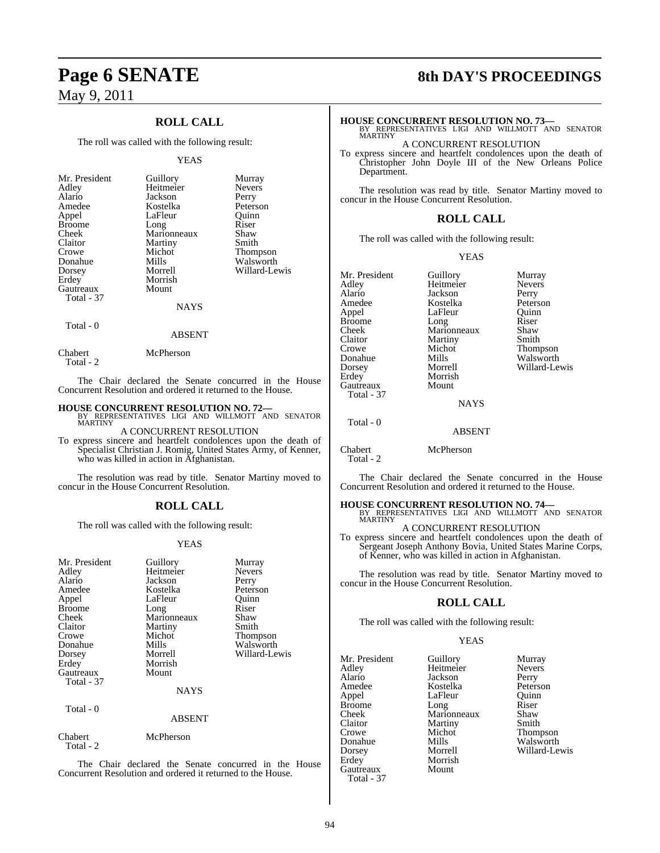## **ROLL CALL**

The roll was called with the following result:

#### YEAS

| Mr. President<br>Adley<br>Alario<br>Amedee<br>Appel<br><b>Broome</b><br>Cheek | Guillory<br>Heitmeier<br>Jackson<br>Kostelka<br>LaFleur<br>Long<br>Marionneaux | Murray<br><b>Nevers</b><br>Perry<br>Peterson<br>Ouinn<br>Riser<br>Shaw |
|-------------------------------------------------------------------------------|--------------------------------------------------------------------------------|------------------------------------------------------------------------|
| Claitor                                                                       | Martiny                                                                        | Smith                                                                  |
| Crowe<br>Donahue                                                              | Michot<br>Mills                                                                | Thompson<br>Walsworth                                                  |
| Dorsey<br>Erdey                                                               | Morrell<br>Morrish                                                             | Willard-Lewis                                                          |
| Gautreaux                                                                     | Mount                                                                          |                                                                        |
| Total - 37                                                                    | NAYS                                                                           |                                                                        |

Total - 0

Chabert McPherson

Total - 2

The Chair declared the Senate concurred in the House Concurrent Resolution and ordered it returned to the House.

ABSENT

#### **HOUSE CONCURRENT RESOLUTION NO. 72—**

BY REPRESENTATIVES LIGI AND WILLMOTT AND SENATOR MARTINY

A CONCURRENT RESOLUTION

To express sincere and heartfelt condolences upon the death of Specialist Christian J. Romig, United States Army, of Kenner, who was killed in action in Afghanistan.

The resolution was read by title. Senator Martiny moved to concur in the House Concurrent Resolution.

#### **ROLL CALL**

The roll was called with the following result:

#### YEAS

| Mr. President<br>Adley<br>Alario<br>Amedee<br>Appel<br><b>Broome</b><br>Cheek<br>Claitor<br>Crowe<br>Donahue<br>Dorsey<br>Erdey<br>Gautreaux<br>Total - 37<br>Total - 0 | Guillory<br>Heitmeier<br>Jackson<br>Kostelka<br>LaFleur<br>Long<br>Marionneaux<br>Martiny<br>Michot<br>Mills<br>Morrell<br>Morrish<br>Mount<br><b>NAYS</b> | Murray<br><b>Nevers</b><br>Perry<br>Peterson<br>Ouinn<br>Riser<br>Shaw<br>Smith<br>Thompson<br>Walsworth<br>Willard-Lewis |
|-------------------------------------------------------------------------------------------------------------------------------------------------------------------------|------------------------------------------------------------------------------------------------------------------------------------------------------------|---------------------------------------------------------------------------------------------------------------------------|
|                                                                                                                                                                         | <b>ABSENT</b>                                                                                                                                              |                                                                                                                           |
| Chabert<br>Total - 2                                                                                                                                                    | McPherson                                                                                                                                                  |                                                                                                                           |

The Chair declared the Senate concurred in the House Concurrent Resolution and ordered it returned to the House.

# **Page 6 SENATE 8th DAY'S PROCEEDINGS**

**HOUSE CONCURRENT RESOLUTION NO. 73—** BY REPRESENTATIVES LIGI AND WILLMOTT AND SENATOR

**MARTINY** 

A CONCURRENT RESOLUTION

To express sincere and heartfelt condolences upon the death of Christopher John Doyle III of the New Orleans Police Department.

The resolution was read by title. Senator Martiny moved to concur in the House Concurrent Resolution.

#### **ROLL CALL**

The roll was called with the following result:

#### YEAS

Mr. President Guillory Murray<br>Adley Heitmeier Nevers Adley Heitmeier Never<br>Alario Jackson Perry Alario Jackson<br>Amedee Kostelka Amedee Kostelka Peterson<br>Appel LaFleur Quinn Broome Long Riser<br>Cheek Marionneaux Shaw Cheek Marionneaux Shaw<br>Claitor Martiny Smith Claitor Martiny<br>Crowe Michot Crowe Michot Thompson<br>
Donahue Mills Walsworth Donahue Mills Walsworth Erdey Morrish Gautreaux Total - 37

LaFleur Quinn<br>Long Riser Morrell Willard-Lewis<br>Morrish

**NAYS** 

ABSENT

## Chabert McPherson

Total - 2

Total - 0

The Chair declared the Senate concurred in the House Concurrent Resolution and ordered it returned to the House.

#### **HOUSE CONCURRENT RESOLUTION NO. 74—**

BY REPRESENTATIVES LIGI AND WILLMOTT AND SENATOR MARTINY A CONCURRENT RESOLUTION

To express sincere and heartfelt condolences upon the death of Sergeant Joseph Anthony Bovia, United States Marine Corps,

of Kenner, who was killed in action in Afghanistan. The resolution was read by title. Senator Martiny moved to

# concur in the House Concurrent Resolution.

#### **ROLL CALL**

The roll was called with the following result:

#### YEAS

Mr. President Guillory Murray<br>Adley Heitmeier Nevers Adley Heitmeier Never<br>Alario Jackson Perry Alario Jackson Perry Amedee Kostelka Peterson<br>Appel LaFleur Quinn Appel LaFleur Quinn<br>Broome Long Riser Broome Long Riser Cheek Marionneaux Shaw Claitor Martiny Smith<br>Crowe Michot Thom Crowe Michot Thompson<br>
Donahue Mills Walsworth Donahue Mills Walsworth Erdey Morrish<br>
Gautreaux Mount Gautreaux Total - 37

Willard-Lewis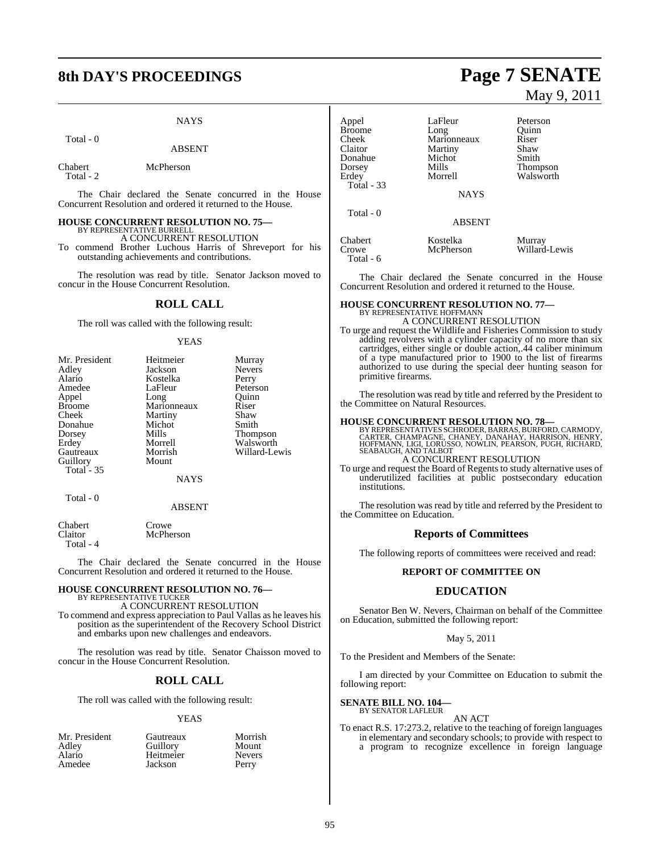# **8th DAY'S PROCEEDINGS Page 7 SENATE**

#### **NAYS**

Total - 0

#### ABSENT

Chabert McPherson Total - 2

The Chair declared the Senate concurred in the House Concurrent Resolution and ordered it returned to the House.

#### **HOUSE CONCURRENT RESOLUTION NO. 75—** BY REPRESENTATIVE BURRELL

A CONCURRENT RESOLUTION

To commend Brother Luchous Harris of Shreveport for his outstanding achievements and contributions.

The resolution was read by title. Senator Jackson moved to concur in the House Concurrent Resolution.

#### **ROLL CALL**

The roll was called with the following result:

#### YEAS

| Mr. President | Heitmeier   | Murray        |
|---------------|-------------|---------------|
| Adley         | Jackson     | <b>Nevers</b> |
| Alario        | Kostelka    | Perry         |
| Amedee        | LaFleur     | Peterson      |
| Appel         | Long        | Ouinn         |
| <b>Broome</b> | Marionneaux | Riser         |
| Cheek         | Martiny     | Shaw          |
| Donahue       | Michot      | Smith         |
| Dorsey        | Mills       | Thompson      |
| Erdey         | Morrell     | Walsworth     |
| Gautreaux     | Morrish     | Willard-Lewis |
| Guillory      | Mount       |               |
| Total $-35$   |             |               |
|               | <b>NAYS</b> |               |
| Total - 0     |             |               |

#### ABSENT

Chabert Crowe<br>Claitor McPhe Total - 4

The Chair declared the Senate concurred in the House Concurrent Resolution and ordered it returned to the House.

# **HOUSE CONCURRENT RESOLUTION NO. 76—**<br>BY REPRESENTATIVE TUCKER<br>A CONCURRENT RESOLUTION

McPherson

To commend and express appreciation to Paul Vallas as he leaves his position as the superintendent of the Recovery School District and embarks upon new challenges and endeavors.

The resolution was read by title. Senator Chaisson moved to concur in the House Concurrent Resolution.

## **ROLL CALL**

The roll was called with the following result:

#### YEAS

nt Gautreaux Morrish<br>Guillory Mount Guillory Mount<br>Heitmeier Nevers Heitmeier Never<br>
Jackson Perry **Jackson** 

May 9, 2011

| Appel             | LaFleur               | Peterson                |
|-------------------|-----------------------|-------------------------|
| <b>Broome</b>     | Long                  | Quinn                   |
| Cheek             | Marionneaux           | Riser                   |
| Claitor           | Martiny               | Shaw                    |
| Donahue           | Michot                | Smith                   |
| Dorsey            | Mills                 | Thompson                |
| Erdey             | Morrell               | Walsworth               |
| <b>Total - 33</b> |                       |                         |
|                   | <b>NAYS</b>           |                         |
| Total - 0         |                       |                         |
|                   | <b>ABSENT</b>         |                         |
| Chabert<br>Crowe  | Kostelka<br>McPherson | Murray<br>Willard-Lewis |
| Total - 6         |                       |                         |

The Chair declared the Senate concurred in the House Concurrent Resolution and ordered it returned to the House.

# **HOUSE CONCURRENT RESOLUTION NO. 77—** BY REPRESENTATIVE HOFFMANN

A CONCURRENT RESOLUTION

To urge and request the Wildlife and Fisheries Commission to study adding revolvers with a cylinder capacity of no more than six cartridges, either single or double action,.44 caliber minimum of a type manufactured prior to 1900 to the list of firearms authorized to use during the special deer hunting season for primitive firearms.

The resolution was read by title and referred by the President to the Committee on Natural Resources.

**HOUSE CONCURRENT RESOLUTION NO. 78—**<br>BY REPRESENTATIVES SCHRODER, BARRAS, BURFORD, CARMODY, CARTER, CHAMPAGNE, CHAMPAGNE, CHAMPAGNE, HENRY,<br>HOFFMANN, LIGI, LORUSSO, NOWLIN, PEARSON, PUGH, RICHARD,<br>SEABAUGH, AND TALBOT A CONCURRENT RESOLUTION

To urge and request the Board of Regents to study alternative uses of underutilized facilities at public postsecondary education institutions.

The resolution was read by title and referred by the President to the Committee on Education.

#### **Reports of Committees**

The following reports of committees were received and read:

#### **REPORT OF COMMITTEE ON**

#### **EDUCATION**

Senator Ben W. Nevers, Chairman on behalf of the Committee on Education, submitted the following report:

#### May 5, 2011

To the President and Members of the Senate:

I am directed by your Committee on Education to submit the following report:

#### **SENATE BILL NO. 104—** BY SENATOR LAFLEUR

AN ACT

To enact R.S. 17:273.2, relative to the teaching of foreign languages in elementary and secondary schools; to provide with respect to a program to recognize excellence in foreign language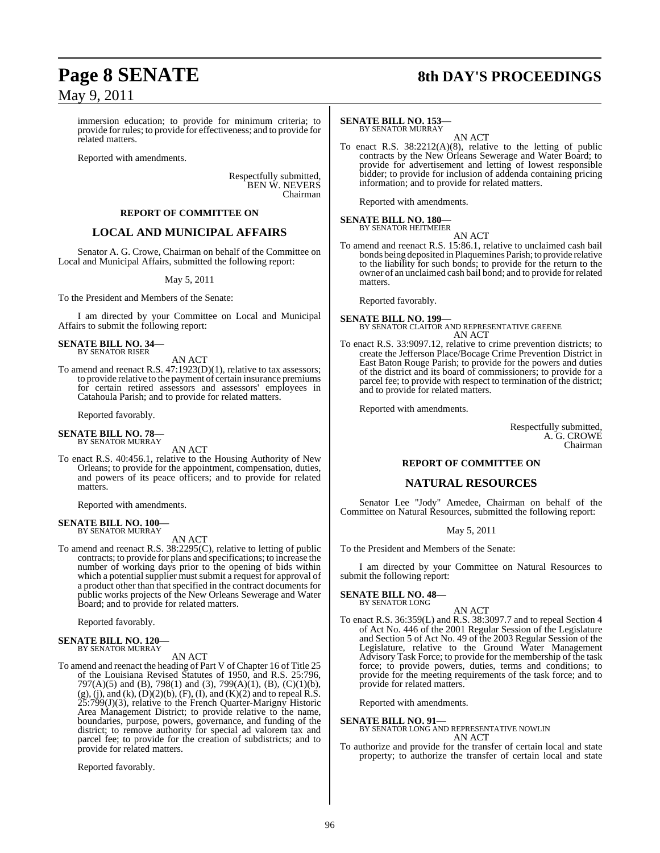# **Page 8 SENATE 8th DAY'S PROCEEDINGS**

immersion education; to provide for minimum criteria; to provide for rules; to provide for effectiveness; and to provide for related matters.

Reported with amendments.

Respectfully submitted, BEN W. NEVERS Chairman

#### **REPORT OF COMMITTEE ON**

#### **LOCAL AND MUNICIPAL AFFAIRS**

Senator A. G. Crowe, Chairman on behalf of the Committee on Local and Municipal Affairs, submitted the following report:

#### May 5, 2011

To the President and Members of the Senate:

I am directed by your Committee on Local and Municipal Affairs to submit the following report:

#### **SENATE BILL NO. 34—** BY SENATOR RISER

AN ACT

To amend and reenact R.S. 47:1923(D)(1), relative to tax assessors; to provide relative to the payment of certain insurance premiums for certain retired assessors and assessors' employees in Catahoula Parish; and to provide for related matters.

Reported favorably.

# **SENATE BILL NO. 78—** BY SENATOR MURRAY

AN ACT

To enact R.S. 40:456.1, relative to the Housing Authority of New Orleans; to provide for the appointment, compensation, duties, and powers of its peace officers; and to provide for related matters.

Reported with amendments.

#### **SENATE BILL NO. 100—** BY SENATOR MURRAY

AN ACT

To amend and reenact R.S. 38:2295(C), relative to letting of public contracts; to provide for plans and specifications; to increase the number of working days prior to the opening of bids within which a potential supplier must submit a request for approval of a product other than that specified in the contract documents for public works projects of the New Orleans Sewerage and Water Board; and to provide for related matters.

Reported favorably.

#### **SENATE BILL NO. 120—** BY SENATOR MURRAY

AN ACT

To amend and reenact the heading of Part V of Chapter 16 of Title 25 of the Louisiana Revised Statutes of 1950, and R.S. 25:796, 797(A)(5) and (B), 798(1) and (3), 799(A)(1), (B), (C)(1)(b),  $(g)$ , (j), and (k),  $(D)(2)(b)$ ,  $(F)$ , (I), and  $(K)(2)$  and to repeal R.S.  $25:799(J)(3)$ , relative to the French Quarter-Marigny Historic Area Management District; to provide relative to the name, boundaries, purpose, powers, governance, and funding of the district; to remove authority for special ad valorem tax and parcel fee; to provide for the creation of subdistricts; and to provide for related matters.

Reported favorably.

#### **SENATE BILL NO. 153—** BY SENATOR MURRAY

AN ACT

To enact R.S. 38:2212(A)(8), relative to the letting of public contracts by the New Orleans Sewerage and Water Board; to provide for advertisement and letting of lowest responsible bidder; to provide for inclusion of addenda containing pricing information; and to provide for related matters.

Reported with amendments.

# **SENATE BILL NO. 180—** BY SENATOR HEITMEIER

AN ACT To amend and reenact R.S. 15:86.1, relative to unclaimed cash bail bonds being deposited in Plaquemines Parish; to provide relative to the liability for such bonds; to provide for the return to the owner of an unclaimed cash bail bond; and to provide forrelated matters.

Reported favorably.

**SENATE BILL NO. 199—** BY SENATOR CLAITOR AND REPRESENTATIVE GREENE AN ACT

To enact R.S. 33:9097.12, relative to crime prevention districts; to create the Jefferson Place/Bocage Crime Prevention District in East Baton Rouge Parish; to provide for the powers and duties of the district and its board of commissioners; to provide for a parcel fee; to provide with respect to termination of the district; and to provide for related matters.

Reported with amendments.

Respectfully submitted, A. G. CROWE Chairman

#### **REPORT OF COMMITTEE ON**

#### **NATURAL RESOURCES**

Senator Lee "Jody" Amedee, Chairman on behalf of the Committee on Natural Resources, submitted the following report:

May 5, 2011

To the President and Members of the Senate:

I am directed by your Committee on Natural Resources to submit the following report:

#### **SENATE BILL NO. 48—** BY SENATOR LONG

- AN ACT
- To enact R.S. 36:359(L) and R.S. 38:3097.7 and to repeal Section 4 of Act No. 446 of the 2001 Regular Session of the Legislature and Section 5 of Act No. 49 of the 2003 Regular Session of the Legislature, relative to the Ground Water Management Advisory Task Force; to provide for the membership of the task force; to provide powers, duties, terms and conditions; to provide for the meeting requirements of the task force; and to provide for related matters.

Reported with amendments.

**SENATE BILL NO. 91—** BY SENATOR LONG AND REPRESENTATIVE NOWLIN AN ACT

To authorize and provide for the transfer of certain local and state property; to authorize the transfer of certain local and state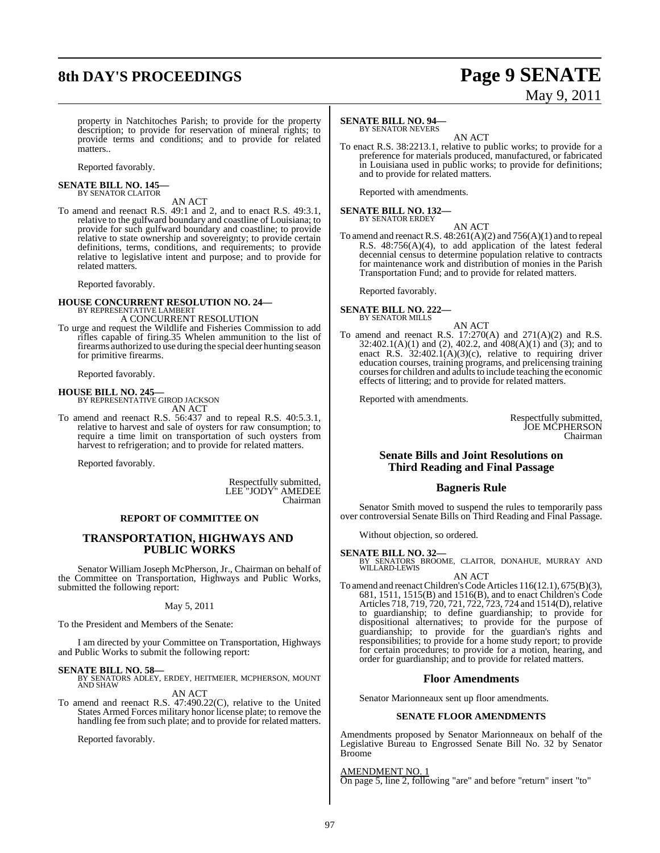# **8th DAY'S PROCEEDINGS Page 9 SENATE**

# May 9, 2011

property in Natchitoches Parish; to provide for the property description; to provide for reservation of mineral rights; to provide terms and conditions; and to provide for related matters..

Reported favorably.

#### **SENATE BILL NO. 145—** BY SENATOR CLAITOR

AN ACT

To amend and reenact R.S. 49:1 and 2, and to enact R.S. 49:3.1, relative to the gulfward boundary and coastline of Louisiana; to provide for such gulfward boundary and coastline; to provide relative to state ownership and sovereignty; to provide certain definitions, terms, conditions, and requirements; to provide relative to legislative intent and purpose; and to provide for related matters.

Reported favorably.

# **HOUSE CONCURRENT RESOLUTION NO. 24—** BY REPRESENTATIVE LAMBERT

#### A CONCURRENT RESOLUTION

To urge and request the Wildlife and Fisheries Commission to add rifles capable of firing.35 Whelen ammunition to the list of firearms authorized to use during the special deer hunting season for primitive firearms.

Reported favorably.

**HOUSE BILL NO. 245—** BY REPRESENTATIVE GIROD JACKSON AN ACT

To amend and reenact R.S. 56:437 and to repeal R.S. 40:5.3.1, relative to harvest and sale of oysters for raw consumption; to require a time limit on transportation of such oysters from harvest to refrigeration; and to provide for related matters.

Reported favorably.

Respectfully submitted, LEE "JODY" AMEDEE Chairman

#### **REPORT OF COMMITTEE ON**

#### **TRANSPORTATION, HIGHWAYS AND PUBLIC WORKS**

Senator William Joseph McPherson, Jr., Chairman on behalf of the Committee on Transportation, Highways and Public Works, submitted the following report:

#### May 5, 2011

To the President and Members of the Senate:

I am directed by your Committee on Transportation, Highways and Public Works to submit the following report:

**SENATE BILL NO. 58—** BY SENATORS ADLEY, ERDEY, HEITMEIER, MCPHERSON, MOUNT AND SHAW AN ACT

To amend and reenact R.S. 47:490.22(C), relative to the United States Armed Forces military honor license plate; to remove the handling fee from such plate; and to provide for related matters.

Reported favorably.

#### **SENATE BILL NO. 94—**

BY SENATOR NEVERS

AN ACT To enact R.S. 38:2213.1, relative to public works; to provide for a preference for materials produced, manufactured, or fabricated in Louisiana used in public works; to provide for definitions; and to provide for related matters.

Reported with amendments.

# **SENATE BILL NO. 132—** BY SENATOR ERDEY

AN ACT

To amend and reenact R.S. 48:261(A)(2) and 756(A)(1) and to repeal R.S. 48:756(A)(4), to add application of the latest federal decennial census to determine population relative to contracts for maintenance work and distribution of monies in the Parish Transportation Fund; and to provide for related matters.

Reported favorably.

#### **SENATE BILL NO. 222—** BY SENATOR MILLS

AN ACT

To amend and reenact R.S.  $17:270(A)$  and  $271(A)(2)$  and R.S. 32:402.1(A)(1) and (2), 402.2, and 408(A)(1) and (3); and to enact R.S. 32:402.1(A)(3)(c), relative to requiring driver education courses, training programs, and prelicensing training courses for children and adults to include teaching the economic effects of littering; and to provide for related matters.

Reported with amendments.

Respectfully submitted, JOE MCPHERSON Chairman

### **Senate Bills and Joint Resolutions on Third Reading and Final Passage**

### **Bagneris Rule**

Senator Smith moved to suspend the rules to temporarily pass over controversial Senate Bills on Third Reading and Final Passage.

Without objection, so ordered.

- **SENATE BILL NO. 32—** BY SENATORS BROOME, CLAITOR, DONAHUE, MURRAY AND WILLARD-LEWIS
- AN ACT To amend and reenact Children's Code Articles 116(12.1), 675(B)(3), 681, 1511, 1515(B) and 1516(B), and to enact Children's Code Articles 718, 719, 720, 721, 722, 723, 724 and 1514(D), relative to guardianship; to define guardianship; to provide for dispositional alternatives; to provide for the purpose of guardianship; to provide for the guardian's rights and responsibilities; to provide for a home study report; to provide for certain procedures; to provide for a motion, hearing, and order for guardianship; and to provide for related matters.

#### **Floor Amendments**

Senator Marionneaux sent up floor amendments.

#### **SENATE FLOOR AMENDMENTS**

Amendments proposed by Senator Marionneaux on behalf of the Legislative Bureau to Engrossed Senate Bill No. 32 by Senator Broome

AMENDMENT NO. 1

On page 5, line 2, following "are" and before "return" insert "to"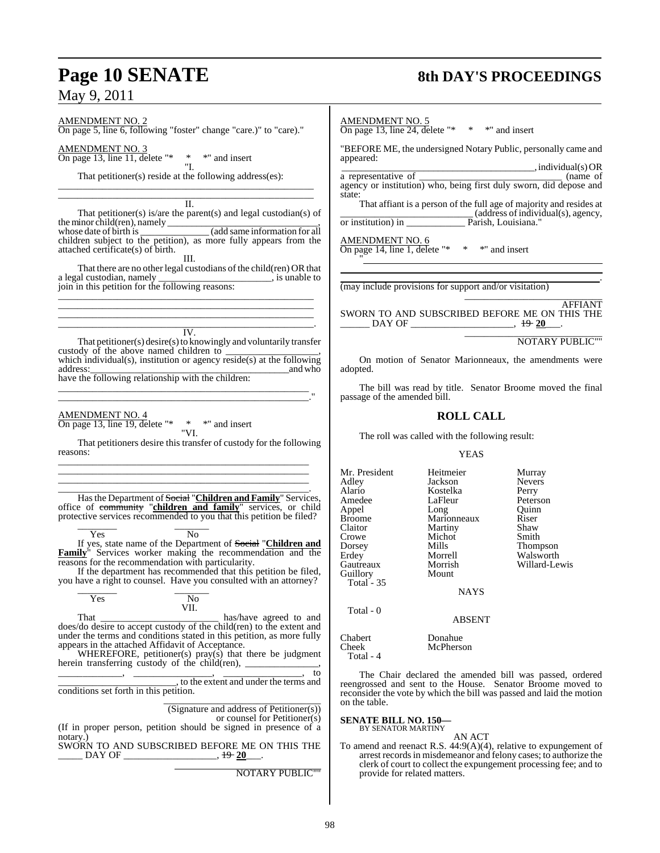# **Page 10 SENATE** 8th DAY'S PROCEEDINGS

AMENDMENT NO. 2

On page 5, line 6, following "foster" change "care.)" to "care)."

AMENDMENT NO. 3 On page 13, line 11, delete "\* \* \* " and insert \* \*" and insert<br>"I.

That petitioner(s) reside at the following address(es): \_\_\_\_\_\_\_\_\_\_\_\_\_\_\_\_\_\_\_\_\_\_\_\_\_\_\_\_\_\_\_\_\_\_\_\_\_\_\_\_\_\_\_\_\_\_\_\_\_\_\_\_

\_\_\_\_\_\_\_\_\_\_\_\_\_\_\_\_\_\_\_\_\_\_\_\_\_\_\_\_\_\_\_\_\_\_\_\_\_\_\_\_\_\_\_\_\_\_\_\_\_\_\_\_  $\overline{\mathbf{u}}$ .

That petitioner(s) is/are the parent(s) and legal custodian(s) of the minor child(ren), namely  $\_$ 

whose date of birth is  $\qquad \qquad$  (add same information for all children subject to the petition), as more fully appears from the attached certificate(s) of birth. III.

That there are no other legal custodians of the child(ren) OR that al custodian, namely \_\_\_\_\_\_\_\_\_\_\_\_\_\_\_\_\_\_\_\_\_\_\_\_\_\_\_, is unable to a legal custodian, namely join in this petition for the following reasons: \_\_\_\_\_\_\_\_\_\_\_\_\_\_\_\_\_\_\_\_\_\_\_\_\_\_\_\_\_\_\_\_\_\_\_\_\_\_\_\_\_\_\_\_\_\_\_\_\_\_\_\_

\_\_\_\_\_\_\_\_\_\_\_\_\_\_\_\_\_\_\_\_\_\_\_\_\_\_\_\_\_\_\_\_\_\_\_\_\_\_\_\_\_\_\_\_\_\_\_\_\_\_\_\_ \_\_\_\_\_\_\_\_\_\_\_\_\_\_\_\_\_\_\_\_\_\_\_\_\_\_\_\_\_\_\_\_\_\_\_\_\_\_\_\_\_\_\_\_\_\_\_\_\_\_\_\_ \_\_\_\_\_\_\_\_\_\_\_\_\_\_\_\_\_\_\_\_\_\_\_\_\_\_\_\_\_\_\_\_\_\_\_\_\_\_\_\_\_\_\_\_\_\_\_\_\_\_\_\_.

IV. That petitioner(s) desire(s) to knowingly and voluntarily transfer custody of the above named children to which individual(s), institution or agency reside(s) at the following address: and who address:\_\_\_\_\_\_\_\_\_\_\_\_\_\_\_\_\_\_\_\_\_\_\_\_\_\_\_\_\_\_\_\_\_\_\_\_\_\_\_\_\_and who have the following relationship with the children:

\_\_\_\_\_\_\_\_\_\_\_\_\_\_\_\_\_\_\_\_\_\_\_\_\_\_\_\_\_\_\_\_\_\_\_\_\_\_\_\_\_\_\_\_\_\_\_\_\_\_\_ \_\_\_\_\_\_\_\_\_\_\_\_\_\_\_\_\_\_\_\_\_\_\_\_\_\_\_\_\_\_\_\_\_\_\_\_\_\_\_\_\_\_\_\_\_\_\_\_\_\_\_."

AMENDMENT NO. 4 On page 13, line 19, delete "\* \* \*" and insert "VI.

That petitioners desire this transfer of custody for the following reasons: \_\_\_\_\_\_\_\_\_\_\_\_\_\_\_\_\_\_\_\_\_\_\_\_\_\_\_\_\_\_\_\_\_\_\_\_\_\_\_\_\_\_\_\_\_\_\_\_\_\_\_

\_\_\_\_\_\_\_\_\_\_\_\_\_\_\_\_\_\_\_\_\_\_\_\_\_\_\_\_\_\_\_\_\_\_\_\_\_\_\_\_\_\_\_\_\_\_\_\_\_\_\_ \_\_\_\_\_\_\_\_\_\_\_\_\_\_\_\_\_\_\_\_\_\_\_\_\_\_\_\_\_\_\_\_\_\_\_\_\_\_\_\_\_\_\_\_\_\_\_\_\_\_\_

\_\_\_\_\_\_\_\_\_\_\_\_\_\_\_\_\_\_\_\_\_\_\_\_\_\_\_\_\_\_\_\_\_\_\_\_\_\_\_\_\_\_\_\_\_\_\_\_\_\_\_. Hasthe Department of Social "**Children and Family**" Services, office of community "**children and family**" services, or child protective services recommended to you that this petition be filed? \_\_\_\_\_\_\_\_ \_\_\_\_\_\_\_

Yes No If yes, state name of the Department of Social "**Children and Family**" Services worker making the recommendation and the reasons for the recommendation with particularity.

If the department has recommended that this petition be filed, you have a right to counsel. Have you consulted with an attorney?

| Yes | No   |
|-----|------|
|     | VII. |
| m и |      |

That the contraction of the has/have agreed to and the same state  $\frac{1}{2}$  has/have agreed to and does/do desire to accept custody of the child(ren) to the extent and under the terms and conditions stated in this petition, as more fully appears in the attached Affidavit of Acceptance.

WHEREFORE, petitioner(s) pray(s) that there be judgment herein transferring custody of the child(ren), \_\_\_\_\_\_\_\_\_\_\_\_\_\_,

\_\_\_\_\_\_\_\_\_\_\_\_\_, \_\_\_\_\_\_\_\_\_\_\_\_\_\_\_\_, \_\_\_\_\_\_\_\_\_\_\_\_\_\_\_\_, to \_\_\_\_\_\_\_\_\_\_\_\_\_\_\_\_\_\_\_\_\_\_\_\_, to the extent and under the terms and conditions set forth in this petition.

\_\_\_\_\_\_\_\_\_\_\_\_\_\_\_\_\_\_\_\_\_\_\_\_\_\_\_\_\_\_\_\_ (Signature and address of Petitioner(s))

or counsel for Petitioner(s)

(If in proper person, petition should be signed in presence of a notary.) SWORN TO AND SUBSCRIBED BEFORE ME ON THIS THE

\_\_\_\_\_ DAY OF \_\_\_\_\_\_\_\_\_\_\_\_\_\_\_\_\_\_\_, 19 **20**\_\_\_.

NOTARY PUBLIC""

## AMENDMENT NO. 5

On page 13, line 24, delete "\*  $*$  \* " and insert

"BEFORE ME, the undersigned Notary Public, personally came and appeared:

 \_\_\_\_\_\_\_\_\_\_\_\_\_\_\_\_\_\_\_\_\_\_\_\_\_\_\_\_\_\_\_\_\_\_\_\_\_\_\_\_, individual(s) OR a representative of agency or institution) who, being first duly sworn, did depose and state: That affiant is a person of the full age of majority and resides at

\_\_\_\_\_\_\_\_\_\_\_\_\_\_\_\_\_\_\_\_\_\_\_\_\_\_\_ (address ofindividual(s), agency, Parish, Louisiana."

AMENDMENT NO. 6

On page 14, line 1, delete "\* \* \* " and insert "

(may include provisions for support and/or visitation) \_\_\_\_\_\_\_\_\_\_\_\_\_\_\_\_\_\_\_\_\_\_\_\_\_\_\_\_

AFFIANT SWORN TO AND SUBSCRIBED BEFORE ME ON THIS THE \_\_\_\_\_\_ DAY OF \_\_\_\_\_\_\_\_\_\_\_\_\_\_\_\_\_\_\_\_\_, 19 **20**\_\_\_.

#### \_\_\_\_\_\_\_\_\_\_\_\_\_\_\_\_\_\_\_\_\_\_\_\_\_\_\_\_ NOTARY PUBLIC""

.

On motion of Senator Marionneaux, the amendments were adopted.

The bill was read by title. Senator Broome moved the final passage of the amended bill.

## **ROLL CALL**

The roll was called with the following result:

#### YEAS

Mr. President Heitmeier Murray<br>Adley Jackson Nevers Adley Jackson Nevers Alario Kostelka Perry LaFleur Peterson<br>Long Quinn Appel Long Quinn Broome Marionneaux Riser<br>Claitor Martiny Shaw Claitor Martiny Shaw<br>Crowe Michot Smith Crowe Michot<br>Dorsey Mills Thompson Erdey Morrell Walsworth<br>
Gautreaux Morrish Willard-Le Morrish Willard-Lewis<br>Mount Guillory Total - 35 **NAYS** Total - 0

#### ABSENT

Chabert Donahue McPherson Total - 4

The Chair declared the amended bill was passed, ordered reengrossed and sent to the House. Senator Broome moved to reconsider the vote by which the bill was passed and laid the motion on the table.

# **SENATE BILL NO. 150—** BY SENATOR MARTINY

AN ACT

To amend and reenact R.S. 44:9(A)(4), relative to expungement of arrest recordsin misdemeanor and felony cases; to authorize the clerk of court to collect the expungement processing fee; and to provide for related matters.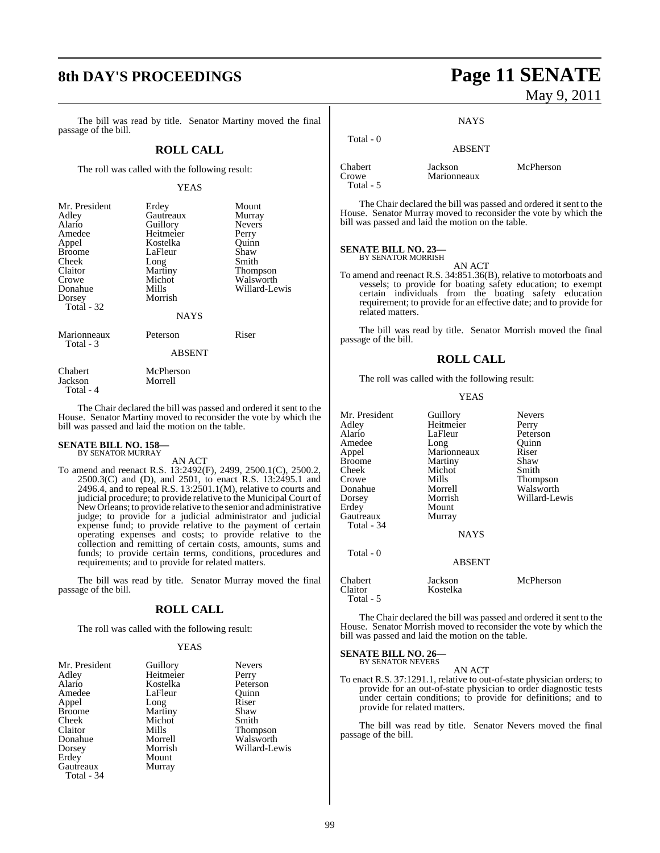# **8th DAY'S PROCEEDINGS Page 11 SENATE**

The bill was read by title. Senator Martiny moved the final passage of the bill.

#### **ROLL CALL**

The roll was called with the following result:

#### YEAS

| Mr. President | Erdey       | Mount         |
|---------------|-------------|---------------|
| Adley         | Gautreaux   | Murray        |
| Alario        | Guillory    | <b>Nevers</b> |
| Amedee        | Heitmeier   | Perry         |
| Appel         | Kostelka    | Ouinn         |
| <b>Broome</b> | LaFleur     | Shaw          |
| Cheek         | Long        | Smith         |
| Claitor       | Martiny     | Thompson      |
| Crowe         | Michot      | Walsworth     |
| Donahue       | Mills       | Willard-Lewis |
| Dorsey        | Morrish     |               |
| Total - 32    |             |               |
|               | <b>NAYS</b> |               |
| Marionneaux   | Peterson    | Riser         |

Total - 3

ABSENT

Chabert McPherson<br>Jackson Morrell Jackson Total - 4

The Chair declared the bill was passed and ordered it sent to the House. Senator Martiny moved to reconsider the vote by which the bill was passed and laid the motion on the table.

# **SENATE BILL NO. 158—** BY SENATOR MURRAY

AN ACT

To amend and reenact R.S. 13:2492(F), 2499, 2500.1(C), 2500.2, 2500.3(C) and (D), and 2501, to enact R.S. 13:2495.1 and 2496.4, and to repeal R.S. 13:2501.1(M), relative to courts and judicial procedure; to provide relative to the Municipal Court of New Orleans; to provide relative to the senior and administrative judge; to provide for a judicial administrator and judicial expense fund; to provide relative to the payment of certain operating expenses and costs; to provide relative to the collection and remitting of certain costs, amounts, sums and funds; to provide certain terms, conditions, procedures and requirements; and to provide for related matters.

The bill was read by title. Senator Murray moved the final passage of the bill.

#### **ROLL CALL**

The roll was called with the following result:

#### YEAS

| Mr. President | Guillory  | <b>Nevers</b> |
|---------------|-----------|---------------|
| Adley         | Heitmeier | Perry         |
| Alario        | Kostelka  | Peterson      |
| Amedee        | LaFleur   | Ouinn         |
| Appel         | Long      | Riser         |
| <b>Broome</b> | Martiny   | Shaw          |
| Cheek         | Michot    | Smith         |
| Claitor       | Mills     | Thompson      |
| Donahue       | Morrell   | Walsworth     |
| Dorsey        | Morrish   | Willard-Lewis |
| Erdey         | Mount     |               |
| Gautreaux     | Murray    |               |
| Total - 34    |           |               |

# May 9, 2011

#### **NAYS**

#### Total - 0 ABSENT Chabert Jackson McPherson Marionneaux

Total - 5

The Chair declared the bill was passed and ordered it sent to the House. Senator Murray moved to reconsider the vote by which the bill was passed and laid the motion on the table.

#### **SENATE BILL NO. 23—** BY SENATOR MORRISH

AN ACT

To amend and reenact R.S. 34:851.36(B), relative to motorboats and vessels; to provide for boating safety education; to exempt certain individuals from the boating safety education requirement; to provide for an effective date; and to provide for related matters.

The bill was read by title. Senator Morrish moved the final passage of the bill.

#### **ROLL CALL**

The roll was called with the following result:

#### YEAS

| Guillory<br>Heitmeier | <b>Nevers</b><br>Perry       |
|-----------------------|------------------------------|
| LaFleur               | Peterson                     |
| Long                  | Quinn                        |
|                       | Riser                        |
| Martiny               | Shaw                         |
| Michot                | Smith                        |
| Mills                 | Thompson                     |
| Morrell               | Walsworth                    |
| Morrish               | Willard-Lewis                |
| Mount                 |                              |
| Murray                |                              |
|                       |                              |
| <b>NAYS</b>           |                              |
|                       |                              |
|                       |                              |
| Jackson               | McPherson                    |
| Kostelka              |                              |
|                       | Marionneaux<br><b>ABSENT</b> |

The Chair declared the bill was passed and ordered it sent to the House. Senator Morrish moved to reconsider the vote by which the bill was passed and laid the motion on the table.

#### **SENATE BILL NO. 26—** BY SENATOR NEVERS

AN ACT

To enact R.S. 37:1291.1, relative to out-of-state physician orders; to provide for an out-of-state physician to order diagnostic tests under certain conditions; to provide for definitions; and to provide for related matters.

The bill was read by title. Senator Nevers moved the final passage of the bill.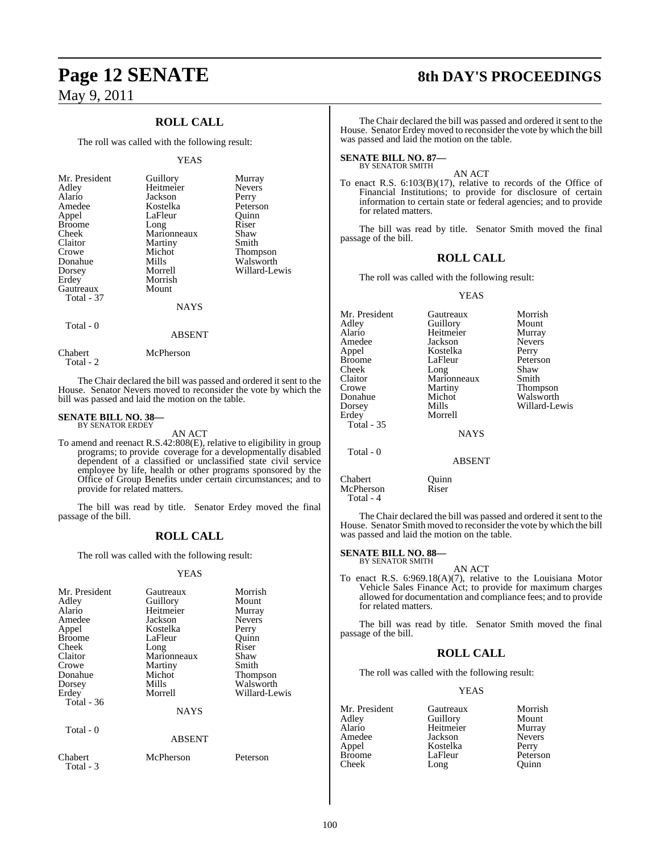## **ROLL CALL**

The roll was called with the following result:

#### YEAS

| Mr. President | Guillory    | Murray          |
|---------------|-------------|-----------------|
| Adley         | Heitmeier   | <b>Nevers</b>   |
| Alario        | Jackson     | Perry           |
| Amedee        | Kostelka    | Peterson        |
| Appel         | LaFleur     | Quinn           |
| <b>Broome</b> | Long        | Riser           |
| Cheek         | Marionneaux | Shaw            |
| Claitor       | Martiny     | Smith           |
| Crowe         | Michot      | <b>Thompson</b> |
| Donahue       | Mills       | Walsworth       |
| Dorsey        | Morrell     | Willard-Lewis   |
| Erdey         | Morrish     |                 |
| Gautreaux     | Mount       |                 |
| Total - 37    |             |                 |
|               | <b>NAYS</b> |                 |
|               |             |                 |

## Total - 0

Total - 2

Chabert McPherson

The Chair declared the bill was passed and ordered it sent to the House. Senator Nevers moved to reconsider the vote by which the bill was passed and laid the motion on the table.

ABSENT

#### **SENATE BILL NO. 38—** BY SENATOR ERDEY

AN ACT

To amend and reenact R.S.42:808(E), relative to eligibility in group programs; to provide coverage for a developmentally disabled dependent of a classified or unclassified state civil service employee by life, health or other programs sponsored by the Office of Group Benefits under certain circumstances; and to provide for related matters.

The bill was read by title. Senator Erdey moved the final passage of the bill.

### **ROLL CALL**

The roll was called with the following result:

#### YEAS

| Mr. President<br>Adley<br>Alario<br>Amedee<br>Appel<br><b>Broome</b><br>Cheek<br>Claitor<br>Crowe<br>Donahue<br>Dorsey | Gautreaux<br>Guillory<br>Heitmeier<br>Jackson<br>Kostelka<br>LaFleur<br>Long<br>Marionneaux<br>Martiny<br>Michot<br>Mills | Morrish<br>Mount<br>Murray<br><b>Nevers</b><br>Perry<br>Ouinn<br>Riser<br>Shaw<br>Smith<br><b>Thompson</b><br>Walsworth |
|------------------------------------------------------------------------------------------------------------------------|---------------------------------------------------------------------------------------------------------------------------|-------------------------------------------------------------------------------------------------------------------------|
| Erdey<br>Total - 36                                                                                                    | Morrell<br><b>NAYS</b>                                                                                                    | Willard-Lewis                                                                                                           |
| Total - 0                                                                                                              | <b>ABSENT</b>                                                                                                             |                                                                                                                         |
| Chabert<br>Total - 3                                                                                                   | McPherson                                                                                                                 | Peterson                                                                                                                |

# **Page 12 SENATE 8th DAY'S PROCEEDINGS**

The Chair declared the bill was passed and ordered it sent to the House. Senator Erdey moved to reconsider the vote by which the bill was passed and laid the motion on the table.

#### **SENATE BILL NO. 87—** BY SENATOR SMITH

#### AN ACT

To enact R.S. 6:103(B)(17), relative to records of the Office of Financial Institutions; to provide for disclosure of certain information to certain state or federal agencies; and to provide for related matters.

The bill was read by title. Senator Smith moved the final passage of the bill.

### **ROLL CALL**

The roll was called with the following result:

#### YEAS

| Mr. President     | Gautreaux     | Morrish       |
|-------------------|---------------|---------------|
| Adlev             | Guillory      | Mount         |
| Alario            | Heitmeier     | Murray        |
| Amedee            | Jackson       | <b>Nevers</b> |
| Appel             | Kostelka      | Perry         |
| Broome            | LaFleur       | Peterson      |
| Cheek             | Long          | Shaw          |
| Claitor           | Marionneaux   | Smith         |
| Crowe             | Martiny       | Thompson      |
| Donahue           | Michot        | Walsworth     |
| Dorsey            | Mills         | Willard-Lewis |
| Erdey             | Morrell       |               |
| <b>Total - 35</b> |               |               |
|                   | <b>NAYS</b>   |               |
| Total - 0         |               |               |
|                   | <b>ABSENT</b> |               |
|                   |               |               |

Chabert Quinn<br>McPherson Riser McPherson Total - 4

The Chair declared the bill was passed and ordered it sent to the House. Senator Smith moved to reconsider the vote by which the bill was passed and laid the motion on the table.

# **SENATE BILL NO. 88—** BY SENATOR SMITH

## AN ACT

To enact R.S.  $6:969.18(A)(7)$ , relative to the Louisiana Motor Vehicle Sales Finance Act; to provide for maximum charges allowed for documentation and compliance fees; and to provide for related matters.

The bill was read by title. Senator Smith moved the final passage of the bill.

### **ROLL CALL**

The roll was called with the following result:

#### YEAS

Perry Peterson Quinn

| Mr. President | Gautreaux | Morrish       |
|---------------|-----------|---------------|
| Adley         | Guillory  | Mount         |
| Alario        | Heitmeier | Murray        |
| Amedee        | Jackson   | <b>Nevers</b> |
| Appel         | Kostelka  | Perry         |
| <b>Broome</b> | LaFleur   | Petersor      |
| Cheek         | Long      | Ouinn         |

100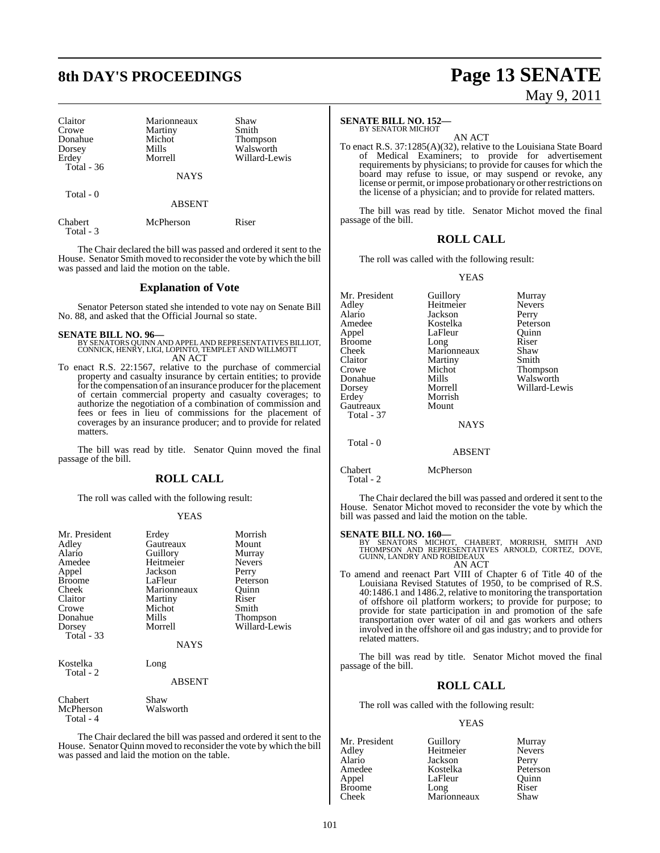| Claitor<br>Crowe<br>Donahue<br>Dorsey<br>Erdey | Marionneaux<br>Martiny<br>Michot<br>Mills<br>Morrell | Shaw<br>Smith<br><b>Thompson</b><br>Walsworth<br>Willard-Lewis |
|------------------------------------------------|------------------------------------------------------|----------------------------------------------------------------|
| Total $-36$                                    | <b>NAYS</b>                                          |                                                                |
| Total - 0                                      | <b>ABSENT</b>                                        |                                                                |
| Chabert<br>Total - 3                           | McPherson                                            | Riser                                                          |

The Chair declared the bill was passed and ordered it sent to the House. Senator Smith moved to reconsider the vote by which the bill was passed and laid the motion on the table.

#### **Explanation of Vote**

Senator Peterson stated she intended to vote nay on Senate Bill No. 88, and asked that the Official Journal so state.

**SENATE BILL NO. 96—** BY SENATORS QUINN AND APPELAND REPRESENTATIVES BILLIOT, CONNICK, HENRY, LIGI, LOPINTO, TEMPLET AND WILLMOTT AN ACT

To enact R.S. 22:1567, relative to the purchase of commercial property and casualty insurance by certain entities; to provide for the compensation of an insurance producer for the placement of certain commercial property and casualty coverages; to authorize the negotiation of a combination of commission and fees or fees in lieu of commissions for the placement of coverages by an insurance producer; and to provide for related matters.

The bill was read by title. Senator Quinn moved the final passage of the bill.

### **ROLL CALL**

The roll was called with the following result:

#### YEAS

| Mr. President<br>Adley<br>Alario<br>Amedee<br>Appel<br><b>Broome</b><br>Cheek<br>Claitor<br>Crowe<br>Donahue<br>Dorsey<br><b>Total - 33</b> | Erdey<br>Gautreaux<br>Guillory<br>Heitmeier<br>Jackson<br>LaFleur<br>Marionneaux<br>Martiny<br>Michot<br>Mills<br>Morrell<br>NAYS | Morrish<br>Mount<br>Murray<br><b>Nevers</b><br>Perry<br>Peterson<br>Ouinn<br>Riser<br>Smith<br>Thompson<br>Willard-Lewis |
|---------------------------------------------------------------------------------------------------------------------------------------------|-----------------------------------------------------------------------------------------------------------------------------------|--------------------------------------------------------------------------------------------------------------------------|
| Kostelka<br>Total - 2                                                                                                                       | Long<br><b>ABSENT</b>                                                                                                             |                                                                                                                          |
| Chabert<br>McPherson<br>Total - 4                                                                                                           | Shaw<br>Walsworth                                                                                                                 |                                                                                                                          |

The Chair declared the bill was passed and ordered it sent to the House. Senator Quinn moved to reconsider the vote by which the bill was passed and laid the motion on the table.

### **SENATE BILL NO. 152—**

BY SENATOR MICHOT AN ACT

To enact R.S. 37:1285(A)(32), relative to the Louisiana State Board of Medical Examiners; to provide for advertisement requirements by physicians; to provide for causes for which the board may refuse to issue, or may suspend or revoke, any license or permit, or impose probationary or other restrictions on the license of a physician; and to provide for related matters.

The bill was read by title. Senator Michot moved the final passage of the bill.

#### **ROLL CALL**

The roll was called with the following result:

#### YEAS

| Mr. President | Guillory      | Murray        |
|---------------|---------------|---------------|
| Adlev         | Heitmeier     | <b>Nevers</b> |
| Alario        | Jackson       | Perry         |
| Amedee        | Kostelka      | Peterson      |
| Appel         | LaFleur       | Ouinn         |
| Broome        | Long          | Riser         |
| Cheek         | Marionneaux   | Shaw          |
| Claitor       | Martiny       | Smith         |
| Crowe         | Michot        | Thompson      |
| Donahue       | Mills         | Walsworth     |
| Dorsey        | Morrell       | Willard-Lewis |
| Erdey         | Morrish       |               |
| Gautreaux     | Mount         |               |
| Total - 37    |               |               |
|               | <b>NAYS</b>   |               |
| Total - 0     |               |               |
|               | <b>ABSENT</b> |               |

#### Chabert McPherson Total - 2

The Chair declared the bill was passed and ordered it sent to the House. Senator Michot moved to reconsider the vote by which the bill was passed and laid the motion on the table.

#### **SENATE BILL NO. 160—**

BY SENATORS MICHOT, CHABERT, MORRISH, SMITH AND THOMPSON AND REPRESENTATIVES ARNOLD, CORTEZ, DOVE, GUINN, LANDRY AND ROBIDEAUX AN ACT

To amend and reenact Part VIII of Chapter 6 of Title 40 of the Louisiana Revised Statutes of 1950, to be comprised of R.S. 40:1486.1 and 1486.2, relative to monitoring the transportation of offshore oil platform workers; to provide for purpose; to provide for state participation in and promotion of the safe transportation over water of oil and gas workers and others involved in the offshore oil and gas industry; and to provide for related matters.

The bill was read by title. Senator Michot moved the final passage of the bill.

#### **ROLL CALL**

The roll was called with the following result:

#### YEAS

| Mr. President | Guillory    | Murray        |
|---------------|-------------|---------------|
| Adley         | Heitmeier   | <b>Nevers</b> |
| Alario        | Jackson     | Perry         |
| Amedee        | Kostelka    | Peterson      |
| Appel         | LaFleur     | Ouinn         |
| <b>Broome</b> | Long        | Riser         |
| Cheek         | Marionneaux | Shaw          |

# **8th DAY'S PROCEEDINGS Page 13 SENATE**

May 9, 2011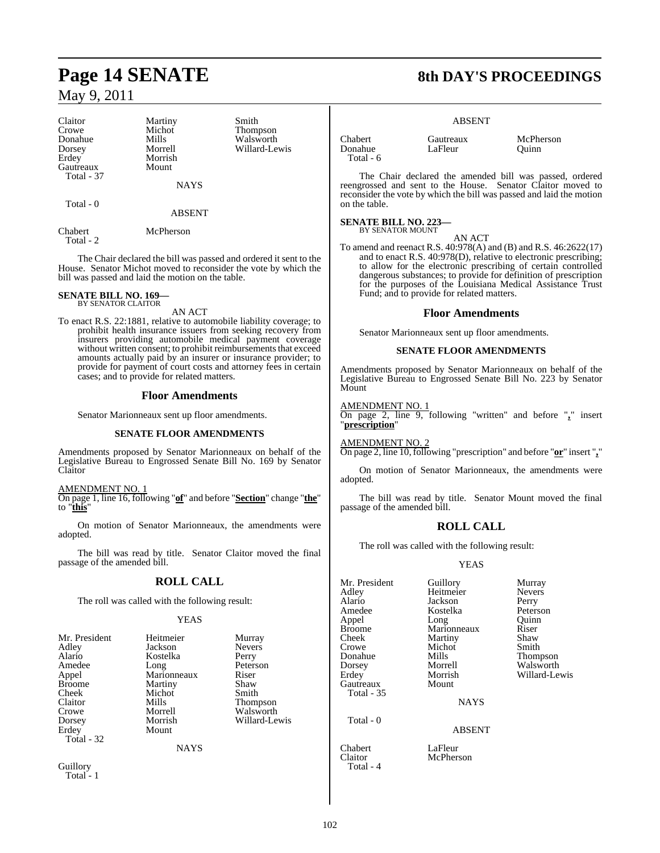#### Claitor Martiny Smith<br>Crowe Michot Thom Crowe Michot Thompson<br>
Donahue Mills Walsworth Donahue Mills Walsworth Dorsey Morrell Willard-Lewis Gautreaux Mount Total - 37

Morrish

**NAYS** 

Total - 0

ABSENT

Chabert McPherson Total - 2

The Chair declared the bill was passed and ordered it sent to the House. Senator Michot moved to reconsider the vote by which the bill was passed and laid the motion on the table.

#### **SENATE BILL NO. 169—** BY SENATOR CLAITOR

AN ACT

To enact R.S. 22:1881, relative to automobile liability coverage; to prohibit health insurance issuers from seeking recovery from insurers providing automobile medical payment coverage without written consent; to prohibit reimbursements that exceed amounts actually paid by an insurer or insurance provider; to provide for payment of court costs and attorney fees in certain cases; and to provide for related matters.

#### **Floor Amendments**

Senator Marionneaux sent up floor amendments.

#### **SENATE FLOOR AMENDMENTS**

Amendments proposed by Senator Marionneaux on behalf of the Legislative Bureau to Engrossed Senate Bill No. 169 by Senator Claitor

#### AMENDMENT NO. 1

On page 1, line 16, following "**of**" and before "**Section**" change "**the**" to "**this**"

On motion of Senator Marionneaux, the amendments were adopted.

The bill was read by title. Senator Claitor moved the final passage of the amended bill.

### **ROLL CALL**

The roll was called with the following result:

#### **YEAS**

| Mr. President<br>Adley<br>Alario<br>Amedee<br>Appel<br><b>Broome</b><br>Cheek<br>Claitor<br>Crowe<br>Dorsey<br>Erdey<br>Total - 32 | Heitmeier<br>Jackson<br>Kostelka<br>Long<br>Marionneaux<br>Martiny<br>Michot<br>Mills<br>Morrell<br>Morrish<br>Mount<br><b>NAYS</b> | Murray<br><b>Nevers</b><br>Perry<br>Peterson<br>Riser<br>Shaw<br>Smith<br>Thompson<br>Walsworth<br>Willard-Lewis |
|------------------------------------------------------------------------------------------------------------------------------------|-------------------------------------------------------------------------------------------------------------------------------------|------------------------------------------------------------------------------------------------------------------|
| Guillory<br>Total - 1                                                                                                              |                                                                                                                                     |                                                                                                                  |

# **Page 14 SENATE 8th DAY'S PROCEEDINGS**

#### ABSENT

Chabert Gautreaux McPherson Donahue Total - 6

The Chair declared the amended bill was passed, ordered reengrossed and sent to the House. Senator Claitor moved to reconsider the vote by which the bill was passed and laid the motion on the table.

# **SENATE BILL NO. 223—** BY SENATOR MOUNT

AN ACT To amend and reenact R.S. 40:978(A) and (B) and R.S. 46:2622(17) and to enact R.S. 40:978(D), relative to electronic prescribing; to allow for the electronic prescribing of certain controlled dangerous substances; to provide for definition of prescription for the purposes of the Louisiana Medical Assistance Trust Fund; and to provide for related matters.

#### **Floor Amendments**

Senator Marionneaux sent up floor amendments.

#### **SENATE FLOOR AMENDMENTS**

Amendments proposed by Senator Marionneaux on behalf of the Legislative Bureau to Engrossed Senate Bill No. 223 by Senator Mount

#### AMENDMENT NO. 1

On page 2, line 9, following "written" and before "**,**" insert "**prescription**"

AMENDMENT NO. 2

On page 2, line 10,following "prescription" and before "**or**" insert "**,**"

On motion of Senator Marionneaux, the amendments were adopted.

The bill was read by title. Senator Mount moved the final passage of the amended bill.

### **ROLL CALL**

The roll was called with the following result:

#### YEAS

Mr. President Guillory Murray<br>Adlev Heitmeier Nevers Alario Jackson Perry Amedee Kostelka<br>Appel Long Appel Long Quinn Broome Marionneaux Riser<br>Cheek Martiny Shaw Cheek Martiny Shaw<br>Crowe Michot Smith Crowe Michot<br>Donahue Mills Donahue Mills Thompson Dorsey Morrell Walsworth Gautreaux Mount Total - 35

Total - 0

Total - 4

Heitmeier

NAYS

Willard-Lewis

#### ABSENT

Chabert LaFleur<br>Claitor McPher **McPherson**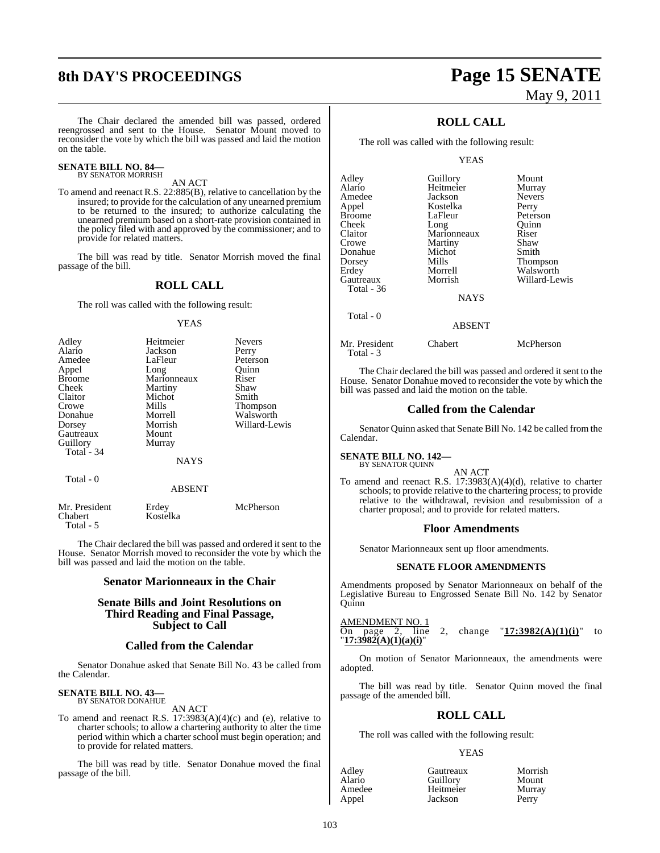# **8th DAY'S PROCEEDINGS Page 15 SENATE**

# May 9, 2011

The Chair declared the amended bill was passed, ordered reengrossed and sent to the House. Senator Mount moved to reconsider the vote by which the bill was passed and laid the motion on the table.

#### **SENATE BILL NO. 84—** BY SENATOR MORRISH

AN ACT

To amend and reenact R.S. 22:885(B), relative to cancellation by the insured; to provide for the calculation of any unearned premium to be returned to the insured; to authorize calculating the unearned premium based on a short-rate provision contained in the policy filed with and approved by the commissioner; and to provide for related matters.

The bill was read by title. Senator Morrish moved the final passage of the bill.

#### **ROLL CALL**

The roll was called with the following result:

#### YEAS

| Adley         | Heitmeier   | <b>Nevers</b> |
|---------------|-------------|---------------|
|               |             |               |
| Alario        | Jackson     | Perry         |
| Amedee        | LaFleur     | Peterson      |
| Appel         | Long        | Ouinn         |
| <b>Broome</b> | Marionneaux | Riser         |
| Cheek         | Martiny     | Shaw          |
| Claitor       | Michot      | Smith         |
| Crowe         | Mills       | Thompson      |
| Donahue       | Morrell     | Walsworth     |
| Dorsey        | Morrish     | Willard-Lewis |
| Gautreaux     | Mount       |               |
| Guillory      | Murray      |               |
| Total $-34$   |             |               |
|               | <b>NAYS</b> |               |
| Total - 0     |             |               |
|               | ABSENT      |               |

| Mr. President | Erdey    | McPherson |
|---------------|----------|-----------|
| Chabert       | Kostelka |           |
| Total - 5     |          |           |

The Chair declared the bill was passed and ordered it sent to the House. Senator Morrish moved to reconsider the vote by which the bill was passed and laid the motion on the table.

#### **Senator Marionneaux in the Chair**

#### **Senate Bills and Joint Resolutions on Third Reading and Final Passage, Subject to Call**

#### **Called from the Calendar**

Senator Donahue asked that Senate Bill No. 43 be called from the Calendar.

#### **SENATE BILL NO. 43—** BY SENATOR DONAHUE

AN ACT

To amend and reenact R.S. 17:3983(A)(4)(c) and (e), relative to charter schools; to allow a chartering authority to alter the time period within which a charter school must begin operation; and to provide for related matters.

The bill was read by title. Senator Donahue moved the final passage of the bill.

### **ROLL CALL**

The roll was called with the following result:

#### YEAS

| Adley       | Guillory    | Mount           |
|-------------|-------------|-----------------|
| Alario      | Heitmeier   | Murray          |
| Amedee      | Jackson     | <b>Nevers</b>   |
| Appel       | Kostelka    | Perry           |
| Broome      | LaFleur     | Peterson        |
| Cheek       | Long        | Quinn           |
| Claitor     | Marionneaux | Riser           |
| Crowe       | Martiny     | Shaw            |
| Donahue     | Michot      | Smith           |
| Dorsey      | Mills       | <b>Thompson</b> |
| Erdey       | Morrell     | Walsworth       |
| Gautreaux   | Morrish     | Willard-Lewis   |
| Total - 36  |             |                 |
|             | <b>NAYS</b> |                 |
| $Total - 0$ |             |                 |

#### ABSENT

Mr. President Chabert McPherson Total - 3

The Chair declared the bill was passed and ordered it sent to the House. Senator Donahue moved to reconsider the vote by which the bill was passed and laid the motion on the table.

#### **Called from the Calendar**

Senator Quinn asked that Senate Bill No. 142 be called from the Calendar.

#### **SENATE BILL NO. 142—**

BY SENATOR QUINN

AN ACT To amend and reenact R.S. 17:3983(A)(4)(d), relative to charter schools; to provide relative to the chartering process; to provide relative to the withdrawal, revision and resubmission of a charter proposal; and to provide for related matters.

#### **Floor Amendments**

Senator Marionneaux sent up floor amendments.

#### **SENATE FLOOR AMENDMENTS**

Amendments proposed by Senator Marionneaux on behalf of the Legislative Bureau to Engrossed Senate Bill No. 142 by Senator Quinn

AMENDMENT NO. 1<br>On page 2, line

On page 2, line 2, change "**17:3982(A)(1)(i)**" to "**17:3982(A)(1)(a)(i)**"

On motion of Senator Marionneaux, the amendments were adopted.

The bill was read by title. Senator Quinn moved the final passage of the amended bill.

#### **ROLL CALL**

The roll was called with the following result:

#### YEAS

| Adley  | Gautreaux | Morrish |
|--------|-----------|---------|
| Alario | Guillory  | Mount   |
| Amedee | Heitmeier | Murray  |
| Appel  | Jackson   | Perry   |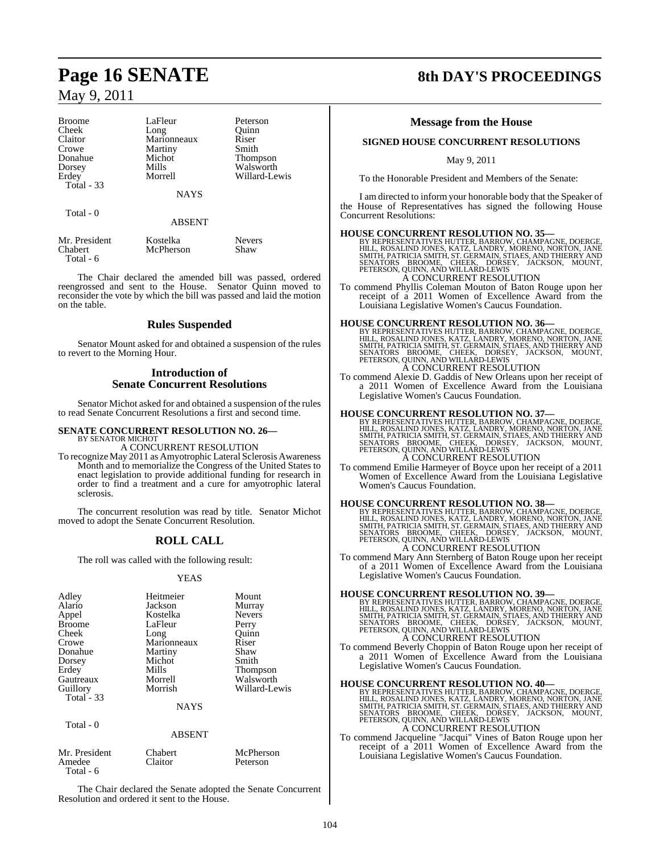| <b>Broome</b> | LaFleur     | Peterson        |
|---------------|-------------|-----------------|
| Cheek         | Long        | Ouinn           |
| Claitor       | Marionneaux | Riser           |
| Crowe         | Martiny     | Smith           |
| Donahue       | Michot      | <b>Thompson</b> |
| Dorsey        | Mills       | Walsworth       |
| Erdey         | Morrell     | Willard-Lewis   |
| Total - 33    |             |                 |
|               | <b>NAYS</b> |                 |
|               |             |                 |
| Total - 0     |             |                 |
|               | ABSENT      |                 |
|               |             |                 |

| Mr. President | Kostelka  | <b>Nevers</b> |
|---------------|-----------|---------------|
| Chabert       | McPherson | Shaw          |
| Total - 6     |           |               |

The Chair declared the amended bill was passed, ordered reengrossed and sent to the House. Senator Quinn moved to reconsider the vote by which the bill was passed and laid the motion on the table.

#### **Rules Suspended**

Senator Mount asked for and obtained a suspension of the rules to revert to the Morning Hour.

### **Introduction of Senate Concurrent Resolutions**

Senator Michot asked for and obtained a suspension of the rules to read Senate Concurrent Resolutions a first and second time.

#### **SENATE CONCURRENT RESOLUTION NO. 26—** BY SENATOR MICHOT

A CONCURRENT RESOLUTION

To recognize May 2011 as Amyotrophic Lateral Sclerosis Awareness Month and to memorialize the Congress of the United States to enact legislation to provide additional funding for research in order to find a treatment and a cure for amyotrophic lateral sclerosis.

The concurrent resolution was read by title. Senator Michot moved to adopt the Senate Concurrent Resolution.

## **ROLL CALL**

The roll was called with the following result:

#### YEAS

| Adley         | Heitmeier   | Mount           |
|---------------|-------------|-----------------|
| Alario        | Jackson     | Murray          |
| Appel         | Kostelka    | <b>Nevers</b>   |
| <b>Broome</b> | LaFleur     | Perry           |
| Cheek         | Long        | Ouinn           |
| Crowe         | Marionneaux | Riser           |
| Donahue       | Martiny     | Shaw            |
| Dorsey        | Michot      | Smith           |
| Erdey         | Mills       | <b>Thompson</b> |
| Gautreaux     | Morrell     | Walsworth       |
| Guillory      | Morrish     | Willard-Lewis   |
| Total $-33$   |             |                 |
|               | <b>NAYS</b> |                 |

| 1 vuu                                | <b>ABSENT</b>             |                       |
|--------------------------------------|---------------------------|-----------------------|
| Mr. President<br>Amedee<br>Total - 6 | <b>Chabert</b><br>Claitor | McPherson<br>Peterson |

Total - 0

The Chair declared the Senate adopted the Senate Concurrent Resolution and ordered it sent to the House.

# **Page 16 SENATE 8th DAY'S PROCEEDINGS**

#### **Message from the House**

#### **SIGNED HOUSE CONCURRENT RESOLUTIONS**

May 9, 2011

To the Honorable President and Members of the Senate:

I am directed to inform your honorable body that the Speaker of the House of Representatives has signed the following House Concurrent Resolutions:

#### **HOUSE CONCURRENT RESOLUTION NO. 35—**

BY REPRESENTATIVES HUTTER, BARROW, CHAMPAGNE, DOERGE,<br>HILL, ROSALIND JONES, KATZ, LANDRY, MORENO, NORTON, JANE<br>SMITH, PATRICIA SMITH, ST. GERMAIN, STIAES, AND THIERRY AND<br>SENATORS – BROOME, – CHEEK, – DORSEY, – JACKSON, – A CONCURRENT RESOLUTION

To commend Phyllis Coleman Mouton of Baton Rouge upon her receipt of a 2011 Women of Excellence Award from the Louisiana Legislative Women's Caucus Foundation.

#### **HOUSE CONCURRENT RESOLUTION NO. 36—**

BY REPRESENTATIVES HUTTER, BARROW, CHAMPAGNE, DOERGE,<br>HILL, ROSALIND JONES, KATZ, LANDRY, MORENO, NORTON, JANE<br>SMITH, PATRICIA SMITH, ST. GERMAIN, STIAES, AND THIERRY AND<br>SENATORS BROOME, CHEEK, DORSEY, JACKSON, MOUNT,<br>PET

To commend Alexie D. Gaddis of New Orleans upon her receipt of a 2011 Women of Excellence Award from the Louisiana Legislative Women's Caucus Foundation.

**HOUSE CONCURRENT RESOLUTION NO. 37—**<br>BY REPRESENTATIVES HUTTER, BARROW, CHAMPAGNE, DOERGE,<br>HILL, ROSALIND JONES, KATZ, LANDRY, MORENO, NORTON, JANE<br>SMITH, PATRICIA SMITH, ST. GERMAIN, STIAES, AND THIERRY AND<br>SENATORS BROO A CONCURRENT RESOLUTION

To commend Emilie Harmeyer of Boyce upon her receipt of a 2011 Women of Excellence Award from the Louisiana Legislative Women's Caucus Foundation.

**HOUSE CONCURRENT RESOLUTION NO. 38—**<br>BY REPRESENTATIVES HUTTER, BARROW, CHAMPAGNE, DOERGE,<br>HILL, ROSALIND JONES, KATZ, LANDRY, MORENO, NORTON, JANE<br>SMITH, PATRICIA SMITH, ST. GERMAIN, STIAES, AND THIERRY AND<br>SENATORS BROO A CONCURRENT RESOLUTION

To commend Mary Ann Sternberg of Baton Rouge upon her receipt of a 2011 Women of Excellence Award from the Louisiana Legislative Women's Caucus Foundation.

#### **HOUSE CONCURRENT RESOLUTION NO. 39—**

BY REPRESENTATIVES HUTTER, BARROW, CHAMPAGNE, DOERGE,<br>HILL, ROSALIND JONES, KATZ, LANDRY, MORENO, NORTON, JANE<br>SMITH, PATRICIA SMITH, ST. GERMAIN, STIAES, AND THIERRY AND<br>SENATORS - BROOME, CHEEK, DORSEY, JACKSON, MOUNT,<br>P

To commend Beverly Choppin of Baton Rouge upon her receipt of a 2011 Women of Excellence Award from the Louisiana Legislative Women's Caucus Foundation.

#### **HOUSE CONCURRENT RESOLUTION NO. 40—**

BY REPRESENTATIVES HUTTER, BARROW, CHAMPAGNE, DOERGE,<br>HILL, ROSALIND JONES, KATZ, LANDRY, MORENO, NORTON, JANE<br>SMITH, PATRICIA SMITH, ST. GERMAIN, STIAES, AND THIERRY AND<br>SENATORS – BROOME, – CHEEK, – DORSEY, – JACKSON, –

### A CONCURRENT RESOLUTION

To commend Jacqueline "Jacqui" Vines of Baton Rouge upon her receipt of a 2011 Women of Excellence Award from the Louisiana Legislative Women's Caucus Foundation.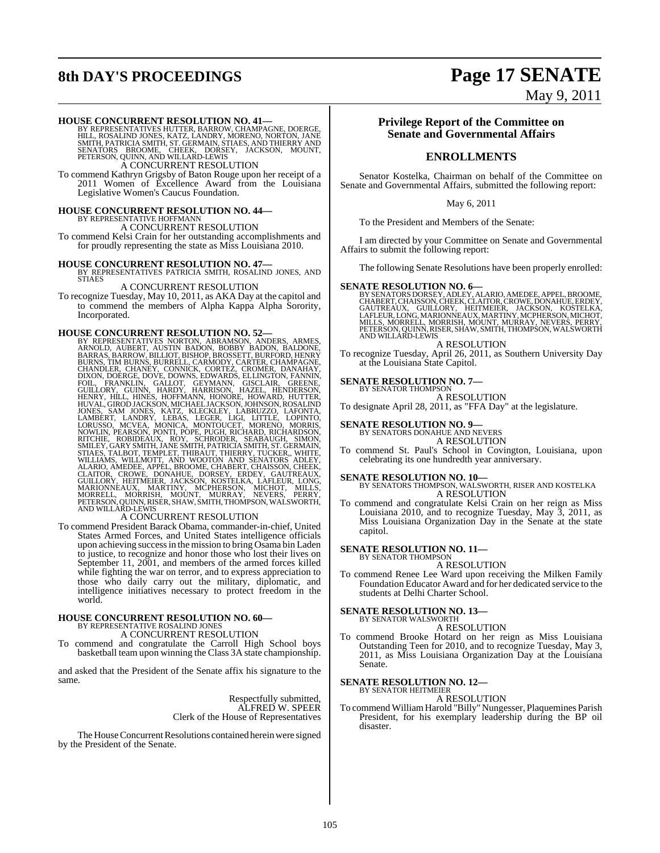# **8th DAY'S PROCEEDINGS Page 17 SENATE**

May 9, 2011

#### **HOUSE CONCURRENT RESOLUTION NO. 41—**

BY REPRESENTATIVES HUTTER, BARROW, CHAMPAGNE, DOERGE,<br>HILL, ROSALIND JONES, KATZ, LANDRY, MORENO, NORTON, JANE<br>SMITH, PATRICIA SMITH, ST. GERMAIN, STIAES, AND THIERRY AND SENATORS BROOME, CHEEK, DORSEY, JACKSON, MOUNT, PETERSON, QUINN, AND WILLARD-LEWIS A CONCURRENT RESOLUTION

To commend Kathryn Grigsby of Baton Rouge upon her receipt of a 2011 Women of Excellence Award from the Louisiana Legislative Women's Caucus Foundation.

# **HOUSE CONCURRENT RESOLUTION NO. 44—** BY REPRESENTATIVE HOFFMANN

A CONCURRENT RESOLUTION

To commend Kelsi Crain for her outstanding accomplishments and for proudly representing the state as Miss Louisiana 2010.

**HOUSE CONCURRENT RESOLUTION NO. 47—** BY REPRESENTATIVES PATRICIA SMITH, ROSALIND JONES, AND STIAES

### A CONCURRENT RESOLUTION

To recognize Tuesday, May 10, 2011, as AKA Day at the capitol and to commend the members of Alpha Kappa Alpha Sorority, Incorporated.

HOUSE CONCURRENT RESOLUTION NO. 52—<br>BY REPRESENTATIVES NORTON, ABRAMSON, ANDERS, ARMOLD, AUBERT, AUSTIN BADON, BOBBY BADON, BALDONE, BARRAG, BARRAG, BARRAG, BARRAG, BURRELL, CARMODY, CARTEZ, CHAMPAGNE, CHANDLER, CHANEY, CO

To commend President Barack Obama, commander-in-chief, United States Armed Forces, and United States intelligence officials upon achieving successin the mission to bring Osama bin Laden to justice, to recognize and honor those who lost their lives on September 11, 2001, and members of the armed forces killed while fighting the war on terror, and to express appreciation to those who daily carry out the military, diplomatic, and intelligence initiatives necessary to protect freedom in the world.

# **HOUSE CONCURRENT RESOLUTION NO. 60—** BY REPRESENTATIVE ROSALIND JONES

A CONCURRENT RESOLUTION

To commend and congratulate the Carroll High School boys basketball team upon winning the Class 3A state championship.

and asked that the President of the Senate affix his signature to the same.

> Respectfully submitted, ALFRED W. SPEER Clerk of the House of Representatives

The House Concurrent Resolutions contained herein were signed by the President of the Senate.

#### **Privilege Report of the Committee on Senate and Governmental Affairs**

#### **ENROLLMENTS**

Senator Kostelka, Chairman on behalf of the Committee on Senate and Governmental Affairs, submitted the following report:

#### May 6, 2011

To the President and Members of the Senate:

I am directed by your Committee on Senate and Governmental Affairs to submit the following report:

The following Senate Resolutions have been properly enrolled:

**SENATE RESOLUTION NO. 6—** BY SENATORSDORSEY, ADLEY, ALARIO, AMEDEE, APPEL, BROOME, CHABERT, CHAISSON, CHEEK, CLAITOR, CROWE, DONAHUE, ERDEY, GAUTREAUX, GUILLORY, HEITMEIER, JACKSON, KOŚTELKA,<br>LAFLEUR,LONG,MARIONNEAUX,MARTINY,MCPHERSON,MICHOT,<br>MILLS,MORRELL,MORRISH,MOUNT,MURRAY,NEVERS,PERRY,<br>PETERSON,QUINN,RISER,SHAW,SMITH,THOMPSON,WALSWORTH AND WILLARD-LEWIS

A RESOLUTION

To recognize Tuesday, April 26, 2011, as Southern University Day at the Louisiana State Capitol.

#### **SENATE RESOLUTION NO. 7—**

BY SENATOR THOMPSON A RESOLUTION To designate April 28, 2011, as "FFA Day" at the legislature.

# **SENATE RESOLUTION NO. 9—** BY SENATORS DONAHUE AND NEVERS

A RESOLUTION

To commend St. Paul's School in Covington, Louisiana, upon celebrating its one hundredth year anniversary.

**SENATE RESOLUTION NO. 10—** BY SENATORS THOMPSON, WALSWORTH, RISER AND KOSTELKA A RESOLUTION

To commend and congratulate Kelsi Crain on her reign as Miss Louisiana 2010, and to recognize Tuesday, May 3, 2011, as Miss Louisiana Organization Day in the Senate at the state capitol.

#### **SENATE RESOLUTION NO. 11—**

BY SENATOR THOMPSON A RESOLUTION

To commend Renee Lee Ward upon receiving the Milken Family Foundation Educator Award and for her dedicated service to the students at Delhi Charter School.

#### **SENATE RESOLUTION NO. 13—**

BY SENATOR WALSWORTH A RESOLUTION

To commend Brooke Hotard on her reign as Miss Louisiana Outstanding Teen for 2010, and to recognize Tuesday, May 3, 2011, as Miss Louisiana Organization Day at the Louisiana Senate.

#### **SENATE RESOLUTION NO. 12—**

BY SENATOR HEITMEIER A RESOLUTION

To commend WilliamHarold "Billy"Nungesser, Plaquemines Parish President, for his exemplary leadership during the BP oil disaster.